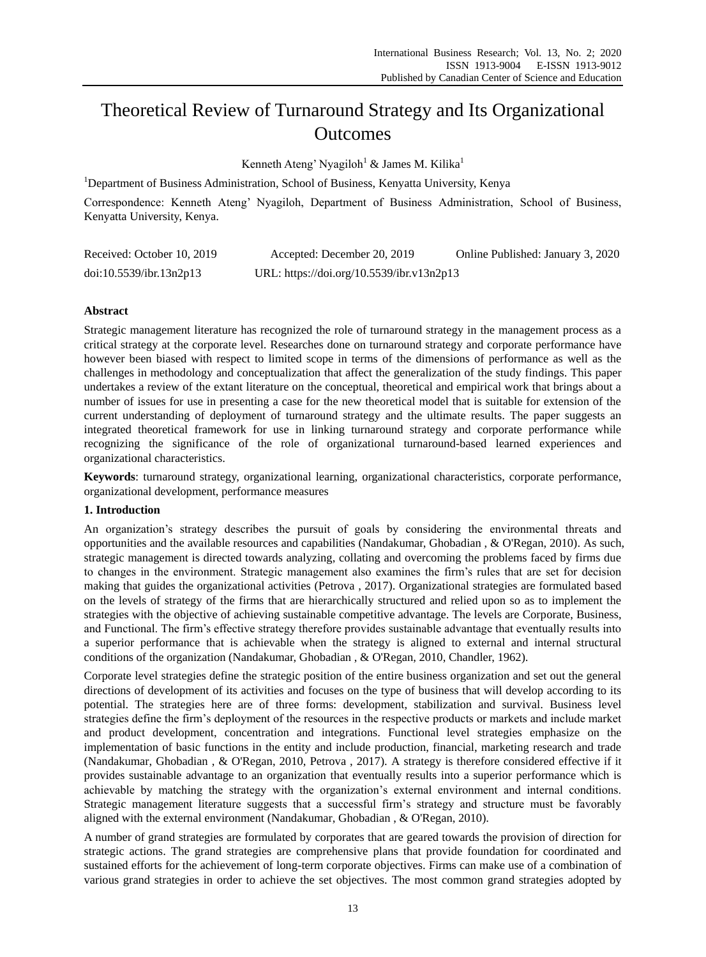# Theoretical Review of Turnaround Strategy and Its Organizational **Outcomes**

Kenneth Ateng' Nyagiloh<sup>1</sup> & James M. Kilika<sup>1</sup>

<sup>1</sup>Department of Business Administration, School of Business, Kenyatta University, Kenya

Correspondence: Kenneth Ateng' Nyagiloh, Department of Business Administration, School of Business, Kenyatta University, Kenya.

| Received: October 10, 2019 | Accepted: December 20, 2019               | Online Published: January 3, 2020 |
|----------------------------|-------------------------------------------|-----------------------------------|
| doi:10.5539/ibr.13n2p13    | URL: https://doi.org/10.5539/ibr.v13n2p13 |                                   |

# **Abstract**

Strategic management literature has recognized the role of turnaround strategy in the management process as a critical strategy at the corporate level. Researches done on turnaround strategy and corporate performance have however been biased with respect to limited scope in terms of the dimensions of performance as well as the challenges in methodology and conceptualization that affect the generalization of the study findings. This paper undertakes a review of the extant literature on the conceptual, theoretical and empirical work that brings about a number of issues for use in presenting a case for the new theoretical model that is suitable for extension of the current understanding of deployment of turnaround strategy and the ultimate results. The paper suggests an integrated theoretical framework for use in linking turnaround strategy and corporate performance while recognizing the significance of the role of organizational turnaround-based learned experiences and organizational characteristics.

**Keywords**: turnaround strategy, organizational learning, organizational characteristics, corporate performance, organizational development, performance measures

# **1. Introduction**

An organization's strategy describes the pursuit of goals by considering the environmental threats and opportunities and the available resources and capabilities (Nandakumar, Ghobadian , & O'Regan, 2010). As such, strategic management is directed towards analyzing, collating and overcoming the problems faced by firms due to changes in the environment. Strategic management also examines the firm's rules that are set for decision making that guides the organizational activities (Petrova , 2017). Organizational strategies are formulated based on the levels of strategy of the firms that are hierarchically structured and relied upon so as to implement the strategies with the objective of achieving sustainable competitive advantage. The levels are Corporate, Business, and Functional. The firm's effective strategy therefore provides sustainable advantage that eventually results into a superior performance that is achievable when the strategy is aligned to external and internal structural conditions of the organization (Nandakumar, Ghobadian , & O'Regan, 2010, Chandler, 1962).

Corporate level strategies define the strategic position of the entire business organization and set out the general directions of development of its activities and focuses on the type of business that will develop according to its potential. The strategies here are of three forms: development, stabilization and survival. Business level strategies define the firm's deployment of the resources in the respective products or markets and include market and product development, concentration and integrations. Functional level strategies emphasize on the implementation of basic functions in the entity and include production, financial, marketing research and trade (Nandakumar, Ghobadian , & O'Regan, 2010, Petrova , 2017). A strategy is therefore considered effective if it provides sustainable advantage to an organization that eventually results into a superior performance which is achievable by matching the strategy with the organization's external environment and internal conditions. Strategic management literature suggests that a successful firm's strategy and structure must be favorably aligned with the external environment (Nandakumar, Ghobadian , & O'Regan, 2010).

A number of grand strategies are formulated by corporates that are geared towards the provision of direction for strategic actions. The grand strategies are comprehensive plans that provide foundation for coordinated and sustained efforts for the achievement of long-term corporate objectives. Firms can make use of a combination of various grand strategies in order to achieve the set objectives. The most common grand strategies adopted by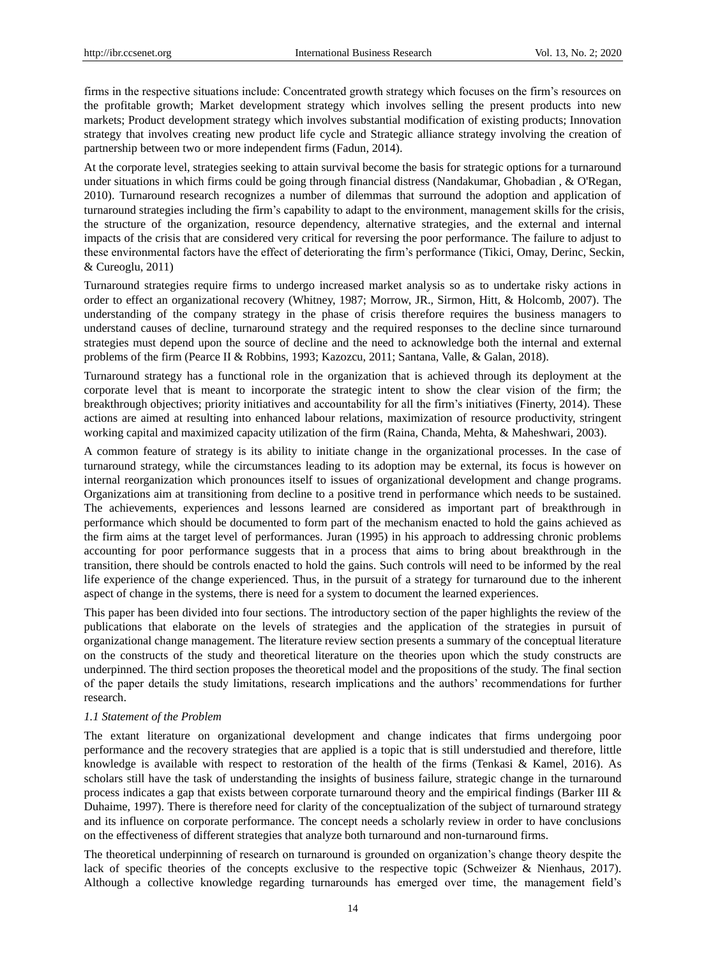firms in the respective situations include: Concentrated growth strategy which focuses on the firm's resources on the profitable growth; Market development strategy which involves selling the present products into new markets; Product development strategy which involves substantial modification of existing products; Innovation strategy that involves creating new product life cycle and Strategic alliance strategy involving the creation of partnership between two or more independent firms (Fadun, 2014).

At the corporate level, strategies seeking to attain survival become the basis for strategic options for a turnaround under situations in which firms could be going through financial distress (Nandakumar, Ghobadian , & O'Regan, 2010). Turnaround research recognizes a number of dilemmas that surround the adoption and application of turnaround strategies including the firm's capability to adapt to the environment, management skills for the crisis, the structure of the organization, resource dependency, alternative strategies, and the external and internal impacts of the crisis that are considered very critical for reversing the poor performance. The failure to adjust to these environmental factors have the effect of deteriorating the firm's performance (Tikici, Omay, Derinc, Seckin, & Cureoglu, 2011)

Turnaround strategies require firms to undergo increased market analysis so as to undertake risky actions in order to effect an organizational recovery (Whitney, 1987; Morrow, JR., Sirmon, Hitt, & Holcomb, 2007). The understanding of the company strategy in the phase of crisis therefore requires the business managers to understand causes of decline, turnaround strategy and the required responses to the decline since turnaround strategies must depend upon the source of decline and the need to acknowledge both the internal and external problems of the firm (Pearce II & Robbins, 1993; Kazozcu, 2011; Santana, Valle, & Galan, 2018).

Turnaround strategy has a functional role in the organization that is achieved through its deployment at the corporate level that is meant to incorporate the strategic intent to show the clear vision of the firm; the breakthrough objectives; priority initiatives and accountability for all the firm's initiatives (Finerty, 2014). These actions are aimed at resulting into enhanced labour relations, maximization of resource productivity, stringent working capital and maximized capacity utilization of the firm (Raina, Chanda, Mehta, & Maheshwari, 2003).

A common feature of strategy is its ability to initiate change in the organizational processes. In the case of turnaround strategy, while the circumstances leading to its adoption may be external, its focus is however on internal reorganization which pronounces itself to issues of organizational development and change programs. Organizations aim at transitioning from decline to a positive trend in performance which needs to be sustained. The achievements, experiences and lessons learned are considered as important part of breakthrough in performance which should be documented to form part of the mechanism enacted to hold the gains achieved as the firm aims at the target level of performances. Juran (1995) in his approach to addressing chronic problems accounting for poor performance suggests that in a process that aims to bring about breakthrough in the transition, there should be controls enacted to hold the gains. Such controls will need to be informed by the real life experience of the change experienced. Thus, in the pursuit of a strategy for turnaround due to the inherent aspect of change in the systems, there is need for a system to document the learned experiences.

This paper has been divided into four sections. The introductory section of the paper highlights the review of the publications that elaborate on the levels of strategies and the application of the strategies in pursuit of organizational change management. The literature review section presents a summary of the conceptual literature on the constructs of the study and theoretical literature on the theories upon which the study constructs are underpinned. The third section proposes the theoretical model and the propositions of the study. The final section of the paper details the study limitations, research implications and the authors' recommendations for further research.

## *1.1 Statement of the Problem*

The extant literature on organizational development and change indicates that firms undergoing poor performance and the recovery strategies that are applied is a topic that is still understudied and therefore, little knowledge is available with respect to restoration of the health of the firms (Tenkasi & Kamel, 2016). As scholars still have the task of understanding the insights of business failure, strategic change in the turnaround process indicates a gap that exists between corporate turnaround theory and the empirical findings (Barker III & Duhaime, 1997). There is therefore need for clarity of the conceptualization of the subject of turnaround strategy and its influence on corporate performance. The concept needs a scholarly review in order to have conclusions on the effectiveness of different strategies that analyze both turnaround and non-turnaround firms.

The theoretical underpinning of research on turnaround is grounded on organization's change theory despite the lack of specific theories of the concepts exclusive to the respective topic (Schweizer & Nienhaus, 2017). Although a collective knowledge regarding turnarounds has emerged over time, the management field's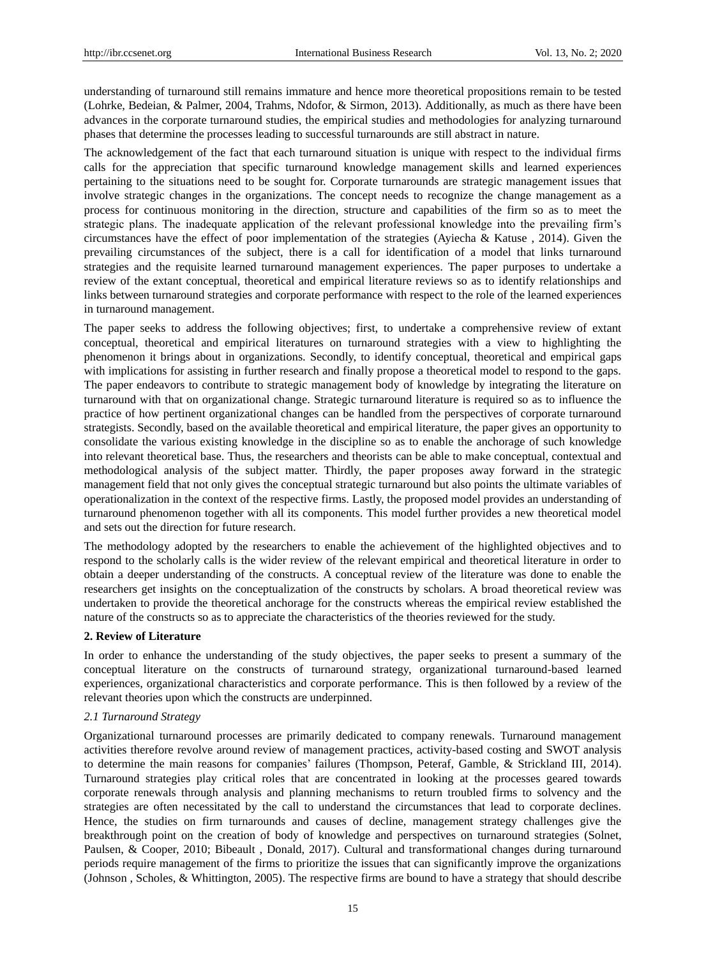understanding of turnaround still remains immature and hence more theoretical propositions remain to be tested (Lohrke, Bedeian, & Palmer, 2004, Trahms, Ndofor, & Sirmon, 2013). Additionally, as much as there have been advances in the corporate turnaround studies, the empirical studies and methodologies for analyzing turnaround phases that determine the processes leading to successful turnarounds are still abstract in nature.

The acknowledgement of the fact that each turnaround situation is unique with respect to the individual firms calls for the appreciation that specific turnaround knowledge management skills and learned experiences pertaining to the situations need to be sought for. Corporate turnarounds are strategic management issues that involve strategic changes in the organizations. The concept needs to recognize the change management as a process for continuous monitoring in the direction, structure and capabilities of the firm so as to meet the strategic plans. The inadequate application of the relevant professional knowledge into the prevailing firm's circumstances have the effect of poor implementation of the strategies (Ayiecha & Katuse, 2014). Given the prevailing circumstances of the subject, there is a call for identification of a model that links turnaround strategies and the requisite learned turnaround management experiences. The paper purposes to undertake a review of the extant conceptual, theoretical and empirical literature reviews so as to identify relationships and links between turnaround strategies and corporate performance with respect to the role of the learned experiences in turnaround management.

The paper seeks to address the following objectives; first, to undertake a comprehensive review of extant conceptual, theoretical and empirical literatures on turnaround strategies with a view to highlighting the phenomenon it brings about in organizations. Secondly, to identify conceptual, theoretical and empirical gaps with implications for assisting in further research and finally propose a theoretical model to respond to the gaps. The paper endeavors to contribute to strategic management body of knowledge by integrating the literature on turnaround with that on organizational change. Strategic turnaround literature is required so as to influence the practice of how pertinent organizational changes can be handled from the perspectives of corporate turnaround strategists. Secondly, based on the available theoretical and empirical literature, the paper gives an opportunity to consolidate the various existing knowledge in the discipline so as to enable the anchorage of such knowledge into relevant theoretical base. Thus, the researchers and theorists can be able to make conceptual, contextual and methodological analysis of the subject matter. Thirdly, the paper proposes away forward in the strategic management field that not only gives the conceptual strategic turnaround but also points the ultimate variables of operationalization in the context of the respective firms. Lastly, the proposed model provides an understanding of turnaround phenomenon together with all its components. This model further provides a new theoretical model and sets out the direction for future research.

The methodology adopted by the researchers to enable the achievement of the highlighted objectives and to respond to the scholarly calls is the wider review of the relevant empirical and theoretical literature in order to obtain a deeper understanding of the constructs. A conceptual review of the literature was done to enable the researchers get insights on the conceptualization of the constructs by scholars. A broad theoretical review was undertaken to provide the theoretical anchorage for the constructs whereas the empirical review established the nature of the constructs so as to appreciate the characteristics of the theories reviewed for the study.

## **2. Review of Literature**

In order to enhance the understanding of the study objectives, the paper seeks to present a summary of the conceptual literature on the constructs of turnaround strategy, organizational turnaround-based learned experiences, organizational characteristics and corporate performance. This is then followed by a review of the relevant theories upon which the constructs are underpinned.

# *2.1 Turnaround Strategy*

Organizational turnaround processes are primarily dedicated to company renewals. Turnaround management activities therefore revolve around review of management practices, activity-based costing and SWOT analysis to determine the main reasons for companies' failures (Thompson, Peteraf, Gamble, & Strickland III, 2014). Turnaround strategies play critical roles that are concentrated in looking at the processes geared towards corporate renewals through analysis and planning mechanisms to return troubled firms to solvency and the strategies are often necessitated by the call to understand the circumstances that lead to corporate declines. Hence, the studies on firm turnarounds and causes of decline, management strategy challenges give the breakthrough point on the creation of body of knowledge and perspectives on turnaround strategies (Solnet, Paulsen, & Cooper, 2010; Bibeault , Donald, 2017). Cultural and transformational changes during turnaround periods require management of the firms to prioritize the issues that can significantly improve the organizations (Johnson , Scholes, & Whittington, 2005). The respective firms are bound to have a strategy that should describe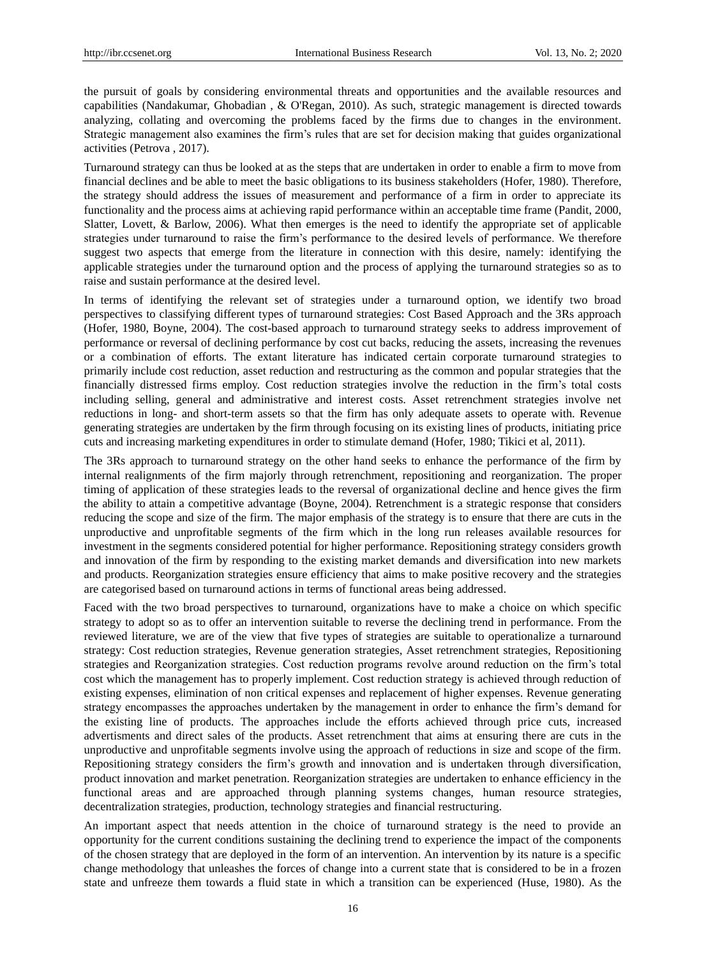the pursuit of goals by considering environmental threats and opportunities and the available resources and capabilities (Nandakumar, Ghobadian , & O'Regan, 2010). As such, strategic management is directed towards analyzing, collating and overcoming the problems faced by the firms due to changes in the environment. Strategic management also examines the firm's rules that are set for decision making that guides organizational activities (Petrova , 2017).

Turnaround strategy can thus be looked at as the steps that are undertaken in order to enable a firm to move from financial declines and be able to meet the basic obligations to its business stakeholders (Hofer, 1980). Therefore, the strategy should address the issues of measurement and performance of a firm in order to appreciate its functionality and the process aims at achieving rapid performance within an acceptable time frame (Pandit, 2000, Slatter, Lovett, & Barlow, 2006). What then emerges is the need to identify the appropriate set of applicable strategies under turnaround to raise the firm's performance to the desired levels of performance. We therefore suggest two aspects that emerge from the literature in connection with this desire, namely: identifying the applicable strategies under the turnaround option and the process of applying the turnaround strategies so as to raise and sustain performance at the desired level.

In terms of identifying the relevant set of strategies under a turnaround option, we identify two broad perspectives to classifying different types of turnaround strategies: Cost Based Approach and the 3Rs approach (Hofer, 1980, Boyne, 2004). The cost-based approach to turnaround strategy seeks to address improvement of performance or reversal of declining performance by cost cut backs, reducing the assets, increasing the revenues or a combination of efforts. The extant literature has indicated certain corporate turnaround strategies to primarily include cost reduction, asset reduction and restructuring as the common and popular strategies that the financially distressed firms employ. Cost reduction strategies involve the reduction in the firm's total costs including selling, general and administrative and interest costs. Asset retrenchment strategies involve net reductions in long- and short-term assets so that the firm has only adequate assets to operate with. Revenue generating strategies are undertaken by the firm through focusing on its existing lines of products, initiating price cuts and increasing marketing expenditures in order to stimulate demand (Hofer, 1980; Tikici et al, 2011).

The 3Rs approach to turnaround strategy on the other hand seeks to enhance the performance of the firm by internal realignments of the firm majorly through retrenchment, repositioning and reorganization. The proper timing of application of these strategies leads to the reversal of organizational decline and hence gives the firm the ability to attain a competitive advantage (Boyne, 2004). Retrenchment is a strategic response that considers reducing the scope and size of the firm. The major emphasis of the strategy is to ensure that there are cuts in the unproductive and unprofitable segments of the firm which in the long run releases available resources for investment in the segments considered potential for higher performance. Repositioning strategy considers growth and innovation of the firm by responding to the existing market demands and diversification into new markets and products. Reorganization strategies ensure efficiency that aims to make positive recovery and the strategies are categorised based on turnaround actions in terms of functional areas being addressed.

Faced with the two broad perspectives to turnaround, organizations have to make a choice on which specific strategy to adopt so as to offer an intervention suitable to reverse the declining trend in performance. From the reviewed literature, we are of the view that five types of strategies are suitable to operationalize a turnaround strategy: Cost reduction strategies, Revenue generation strategies, Asset retrenchment strategies, Repositioning strategies and Reorganization strategies. Cost reduction programs revolve around reduction on the firm's total cost which the management has to properly implement. Cost reduction strategy is achieved through reduction of existing expenses, elimination of non critical expenses and replacement of higher expenses. Revenue generating strategy encompasses the approaches undertaken by the management in order to enhance the firm's demand for the existing line of products. The approaches include the efforts achieved through price cuts, increased advertisments and direct sales of the products. Asset retrenchment that aims at ensuring there are cuts in the unproductive and unprofitable segments involve using the approach of reductions in size and scope of the firm. Repositioning strategy considers the firm's growth and innovation and is undertaken through diversification, product innovation and market penetration. Reorganization strategies are undertaken to enhance efficiency in the functional areas and are approached through planning systems changes, human resource strategies, decentralization strategies, production, technology strategies and financial restructuring.

An important aspect that needs attention in the choice of turnaround strategy is the need to provide an opportunity for the current conditions sustaining the declining trend to experience the impact of the components of the chosen strategy that are deployed in the form of an intervention. An intervention by its nature is a specific change methodology that unleashes the forces of change into a current state that is considered to be in a frozen state and unfreeze them towards a fluid state in which a transition can be experienced (Huse, 1980). As the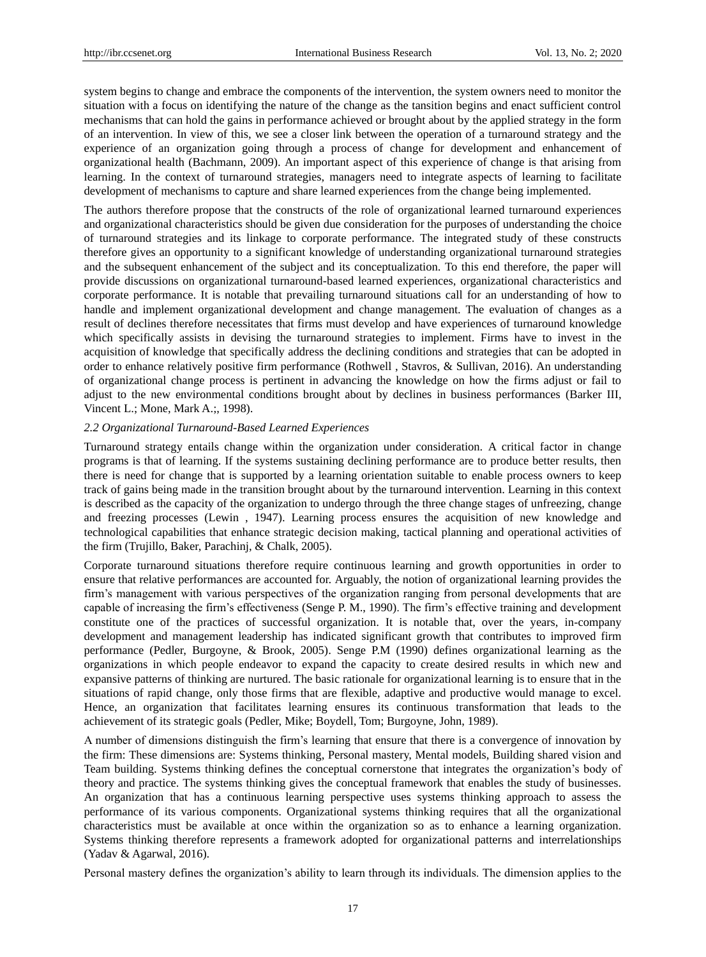system begins to change and embrace the components of the intervention, the system owners need to monitor the situation with a focus on identifying the nature of the change as the tansition begins and enact sufficient control mechanisms that can hold the gains in performance achieved or brought about by the applied strategy in the form of an intervention. In view of this, we see a closer link between the operation of a turnaround strategy and the experience of an organization going through a process of change for development and enhancement of organizational health (Bachmann, 2009). An important aspect of this experience of change is that arising from learning. In the context of turnaround strategies, managers need to integrate aspects of learning to facilitate development of mechanisms to capture and share learned experiences from the change being implemented.

The authors therefore propose that the constructs of the role of organizational learned turnaround experiences and organizational characteristics should be given due consideration for the purposes of understanding the choice of turnaround strategies and its linkage to corporate performance. The integrated study of these constructs therefore gives an opportunity to a significant knowledge of understanding organizational turnaround strategies and the subsequent enhancement of the subject and its conceptualization. To this end therefore, the paper will provide discussions on organizational turnaround-based learned experiences, organizational characteristics and corporate performance. It is notable that prevailing turnaround situations call for an understanding of how to handle and implement organizational development and change management. The evaluation of changes as a result of declines therefore necessitates that firms must develop and have experiences of turnaround knowledge which specifically assists in devising the turnaround strategies to implement. Firms have to invest in the acquisition of knowledge that specifically address the declining conditions and strategies that can be adopted in order to enhance relatively positive firm performance (Rothwell , Stavros, & Sullivan, 2016). An understanding of organizational change process is pertinent in advancing the knowledge on how the firms adjust or fail to adjust to the new environmental conditions brought about by declines in business performances (Barker III, Vincent L.; Mone, Mark A.;, 1998).

#### *2.2 Organizational Turnaround-Based Learned Experiences*

Turnaround strategy entails change within the organization under consideration. A critical factor in change programs is that of learning. If the systems sustaining declining performance are to produce better results, then there is need for change that is supported by a learning orientation suitable to enable process owners to keep track of gains being made in the transition brought about by the turnaround intervention. Learning in this context is described as the capacity of the organization to undergo through the three change stages of unfreezing, change and freezing processes (Lewin , 1947). Learning process ensures the acquisition of new knowledge and technological capabilities that enhance strategic decision making, tactical planning and operational activities of the firm (Trujillo, Baker, Parachinj, & Chalk, 2005).

Corporate turnaround situations therefore require continuous learning and growth opportunities in order to ensure that relative performances are accounted for. Arguably, the notion of organizational learning provides the firm's management with various perspectives of the organization ranging from personal developments that are capable of increasing the firm's effectiveness (Senge P. M., 1990). The firm's effective training and development constitute one of the practices of successful organization. It is notable that, over the years, in-company development and management leadership has indicated significant growth that contributes to improved firm performance (Pedler, Burgoyne, & Brook, 2005). Senge P.M (1990) defines organizational learning as the organizations in which people endeavor to expand the capacity to create desired results in which new and expansive patterns of thinking are nurtured. The basic rationale for organizational learning is to ensure that in the situations of rapid change, only those firms that are flexible, adaptive and productive would manage to excel. Hence, an organization that facilitates learning ensures its continuous transformation that leads to the achievement of its strategic goals (Pedler, Mike; Boydell, Tom; Burgoyne, John, 1989).

A number of dimensions distinguish the firm's learning that ensure that there is a convergence of innovation by the firm: These dimensions are: Systems thinking, Personal mastery, Mental models, Building shared vision and Team building. Systems thinking defines the conceptual cornerstone that integrates the organization's body of theory and practice. The systems thinking gives the conceptual framework that enables the study of businesses. An organization that has a continuous learning perspective uses systems thinking approach to assess the performance of its various components. Organizational systems thinking requires that all the organizational characteristics must be available at once within the organization so as to enhance a learning organization. Systems thinking therefore represents a framework adopted for organizational patterns and interrelationships (Yadav & Agarwal, 2016).

Personal mastery defines the organization's ability to learn through its individuals. The dimension applies to the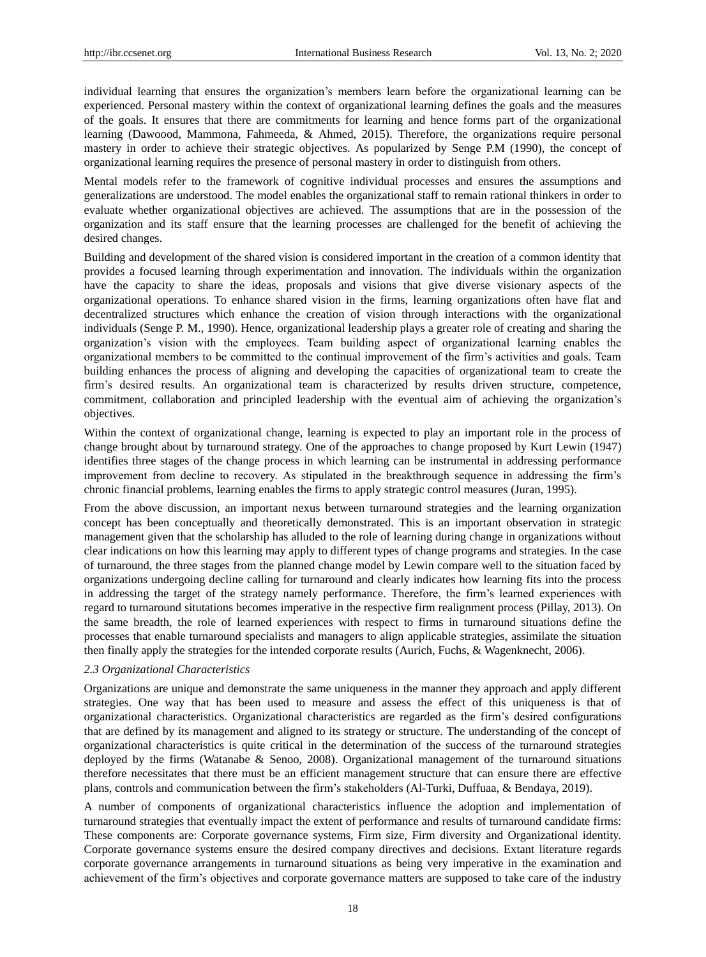individual learning that ensures the organization's members learn before the organizational learning can be experienced. Personal mastery within the context of organizational learning defines the goals and the measures of the goals. It ensures that there are commitments for learning and hence forms part of the organizational learning (Dawoood, Mammona, Fahmeeda, & Ahmed, 2015). Therefore, the organizations require personal mastery in order to achieve their strategic objectives. As popularized by Senge P.M (1990), the concept of organizational learning requires the presence of personal mastery in order to distinguish from others.

Mental models refer to the framework of cognitive individual processes and ensures the assumptions and generalizations are understood. The model enables the organizational staff to remain rational thinkers in order to evaluate whether organizational objectives are achieved. The assumptions that are in the possession of the organization and its staff ensure that the learning processes are challenged for the benefit of achieving the desired changes.

Building and development of the shared vision is considered important in the creation of a common identity that provides a focused learning through experimentation and innovation. The individuals within the organization have the capacity to share the ideas, proposals and visions that give diverse visionary aspects of the organizational operations. To enhance shared vision in the firms, learning organizations often have flat and decentralized structures which enhance the creation of vision through interactions with the organizational individuals (Senge P. M., 1990). Hence, organizational leadership plays a greater role of creating and sharing the organization's vision with the employees. Team building aspect of organizational learning enables the organizational members to be committed to the continual improvement of the firm's activities and goals. Team building enhances the process of aligning and developing the capacities of organizational team to create the firm's desired results. An organizational team is characterized by results driven structure, competence, commitment, collaboration and principled leadership with the eventual aim of achieving the organization's objectives.

Within the context of organizational change, learning is expected to play an important role in the process of change brought about by turnaround strategy. One of the approaches to change proposed by Kurt Lewin (1947) identifies three stages of the change process in which learning can be instrumental in addressing performance improvement from decline to recovery. As stipulated in the breakthrough sequence in addressing the firm's chronic financial problems, learning enables the firms to apply strategic control measures (Juran, 1995).

From the above discussion, an important nexus between turnaround strategies and the learning organization concept has been conceptually and theoretically demonstrated. This is an important observation in strategic management given that the scholarship has alluded to the role of learning during change in organizations without clear indications on how this learning may apply to different types of change programs and strategies. In the case of turnaround, the three stages from the planned change model by Lewin compare well to the situation faced by organizations undergoing decline calling for turnaround and clearly indicates how learning fits into the process in addressing the target of the strategy namely performance. Therefore, the firm's learned experiences with regard to turnaround situtations becomes imperative in the respective firm realignment process (Pillay, 2013). On the same breadth, the role of learned experiences with respect to firms in turnaround situations define the processes that enable turnaround specialists and managers to align applicable strategies, assimilate the situation then finally apply the strategies for the intended corporate results (Aurich, Fuchs, & Wagenknecht, 2006).

## *2.3 Organizational Characteristics*

Organizations are unique and demonstrate the same uniqueness in the manner they approach and apply different strategies. One way that has been used to measure and assess the effect of this uniqueness is that of organizational characteristics. Organizational characteristics are regarded as the firm's desired configurations that are defined by its management and aligned to its strategy or structure. The understanding of the concept of organizational characteristics is quite critical in the determination of the success of the turnaround strategies deployed by the firms (Watanabe & Senoo, 2008). Organizational management of the turnaround situations therefore necessitates that there must be an efficient management structure that can ensure there are effective plans, controls and communication between the firm's stakeholders (Al-Turki, Duffuaa, & Bendaya, 2019).

A number of components of organizational characteristics influence the adoption and implementation of turnaround strategies that eventually impact the extent of performance and results of turnaround candidate firms: These components are: Corporate governance systems, Firm size, Firm diversity and Organizational identity. Corporate governance systems ensure the desired company directives and decisions. Extant literature regards corporate governance arrangements in turnaround situations as being very imperative in the examination and achievement of the firm's objectives and corporate governance matters are supposed to take care of the industry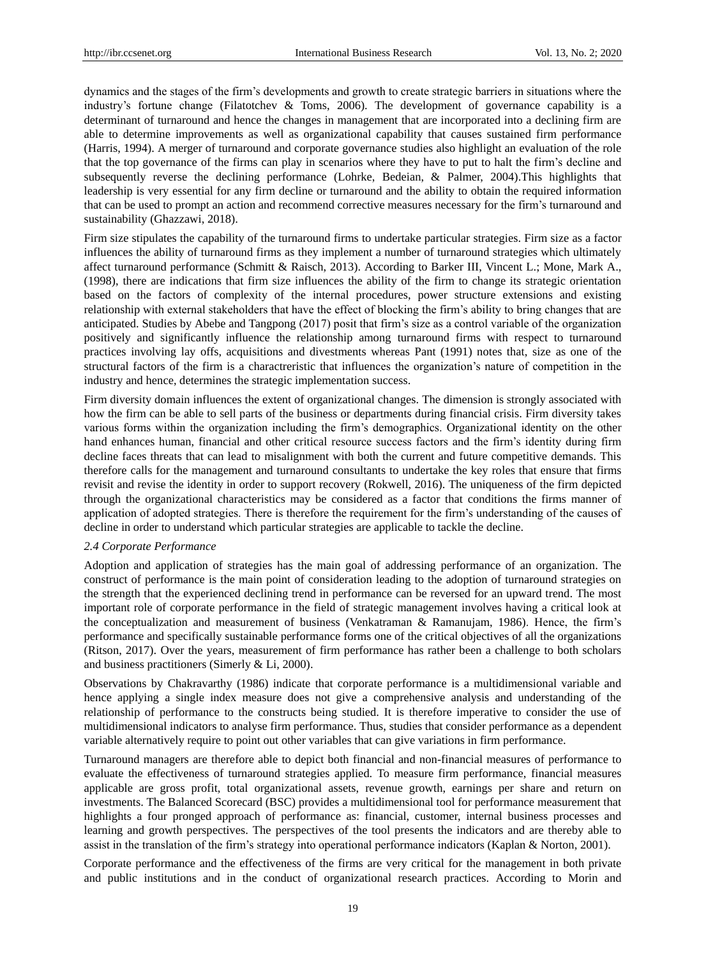dynamics and the stages of the firm's developments and growth to create strategic barriers in situations where the industry's fortune change (Filatotchev & Toms, 2006). The development of governance capability is a determinant of turnaround and hence the changes in management that are incorporated into a declining firm are able to determine improvements as well as organizational capability that causes sustained firm performance (Harris, 1994). A merger of turnaround and corporate governance studies also highlight an evaluation of the role that the top governance of the firms can play in scenarios where they have to put to halt the firm's decline and subsequently reverse the declining performance (Lohrke, Bedeian, & Palmer, 2004).This highlights that leadership is very essential for any firm decline or turnaround and the ability to obtain the required information that can be used to prompt an action and recommend corrective measures necessary for the firm's turnaround and sustainability (Ghazzawi, 2018).

Firm size stipulates the capability of the turnaround firms to undertake particular strategies. Firm size as a factor influences the ability of turnaround firms as they implement a number of turnaround strategies which ultimately affect turnaround performance (Schmitt & Raisch, 2013). According to Barker III, Vincent L.; Mone, Mark A., (1998), there are indications that firm size influences the ability of the firm to change its strategic orientation based on the factors of complexity of the internal procedures, power structure extensions and existing relationship with external stakeholders that have the effect of blocking the firm's ability to bring changes that are anticipated. Studies by Abebe and Tangpong (2017) posit that firm's size as a control variable of the organization positively and significantly influence the relationship among turnaround firms with respect to turnaround practices involving lay offs, acquisitions and divestments whereas Pant (1991) notes that, size as one of the structural factors of the firm is a charactreristic that influences the organization's nature of competition in the industry and hence, determines the strategic implementation success.

Firm diversity domain influences the extent of organizational changes. The dimension is strongly associated with how the firm can be able to sell parts of the business or departments during financial crisis. Firm diversity takes various forms within the organization including the firm's demographics. Organizational identity on the other hand enhances human, financial and other critical resource success factors and the firm's identity during firm decline faces threats that can lead to misalignment with both the current and future competitive demands. This therefore calls for the management and turnaround consultants to undertake the key roles that ensure that firms revisit and revise the identity in order to support recovery (Rokwell, 2016). The uniqueness of the firm depicted through the organizational characteristics may be considered as a factor that conditions the firms manner of application of adopted strategies. There is therefore the requirement for the firm's understanding of the causes of decline in order to understand which particular strategies are applicable to tackle the decline.

## *2.4 Corporate Performance*

Adoption and application of strategies has the main goal of addressing performance of an organization. The construct of performance is the main point of consideration leading to the adoption of turnaround strategies on the strength that the experienced declining trend in performance can be reversed for an upward trend. The most important role of corporate performance in the field of strategic management involves having a critical look at the conceptualization and measurement of business (Venkatraman & Ramanujam, 1986). Hence, the firm's performance and specifically sustainable performance forms one of the critical objectives of all the organizations (Ritson, 2017). Over the years, measurement of firm performance has rather been a challenge to both scholars and business practitioners (Simerly & Li, 2000).

Observations by Chakravarthy (1986) indicate that corporate performance is a multidimensional variable and hence applying a single index measure does not give a comprehensive analysis and understanding of the relationship of performance to the constructs being studied. It is therefore imperative to consider the use of multidimensional indicators to analyse firm performance. Thus, studies that consider performance as a dependent variable alternatively require to point out other variables that can give variations in firm performance.

Turnaround managers are therefore able to depict both financial and non-financial measures of performance to evaluate the effectiveness of turnaround strategies applied. To measure firm performance, financial measures applicable are gross profit, total organizational assets, revenue growth, earnings per share and return on investments. The Balanced Scorecard (BSC) provides a multidimensional tool for performance measurement that highlights a four pronged approach of performance as: financial, customer, internal business processes and learning and growth perspectives. The perspectives of the tool presents the indicators and are thereby able to assist in the translation of the firm's strategy into operational performance indicators (Kaplan & Norton, 2001).

Corporate performance and the effectiveness of the firms are very critical for the management in both private and public institutions and in the conduct of organizational research practices. According to Morin and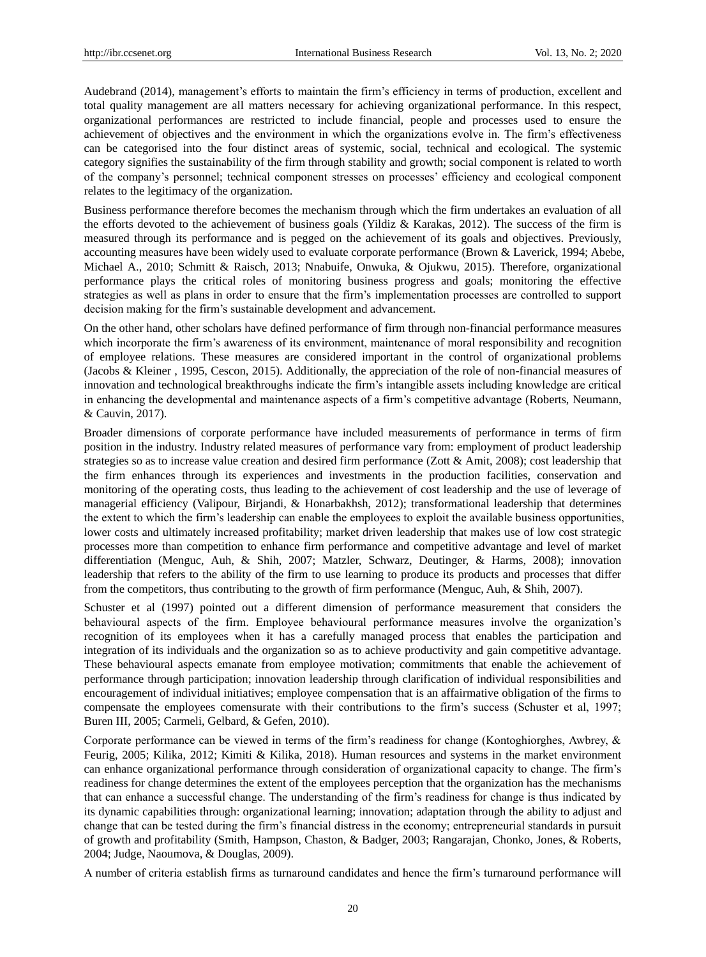Audebrand (2014), management's efforts to maintain the firm's efficiency in terms of production, excellent and total quality management are all matters necessary for achieving organizational performance. In this respect, organizational performances are restricted to include financial, people and processes used to ensure the achievement of objectives and the environment in which the organizations evolve in. The firm's effectiveness can be categorised into the four distinct areas of systemic, social, technical and ecological. The systemic category signifies the sustainability of the firm through stability and growth; social component is related to worth of the company's personnel; technical component stresses on processes' efficiency and ecological component relates to the legitimacy of the organization.

Business performance therefore becomes the mechanism through which the firm undertakes an evaluation of all the efforts devoted to the achievement of business goals (Yildiz & Karakas, 2012). The success of the firm is measured through its performance and is pegged on the achievement of its goals and objectives. Previously, accounting measures have been widely used to evaluate corporate performance (Brown & Laverick, 1994; Abebe, Michael A., 2010; Schmitt & Raisch, 2013; Nnabuife, Onwuka, & Ojukwu, 2015). Therefore, organizational performance plays the critical roles of monitoring business progress and goals; monitoring the effective strategies as well as plans in order to ensure that the firm's implementation processes are controlled to support decision making for the firm's sustainable development and advancement.

On the other hand, other scholars have defined performance of firm through non-financial performance measures which incorporate the firm's awareness of its environment, maintenance of moral responsibility and recognition of employee relations. These measures are considered important in the control of organizational problems (Jacobs & Kleiner , 1995, Cescon, 2015). Additionally, the appreciation of the role of non-financial measures of innovation and technological breakthroughs indicate the firm's intangible assets including knowledge are critical in enhancing the developmental and maintenance aspects of a firm's competitive advantage (Roberts, Neumann, & Cauvin, 2017).

Broader dimensions of corporate performance have included measurements of performance in terms of firm position in the industry. Industry related measures of performance vary from: employment of product leadership strategies so as to increase value creation and desired firm performance (Zott & Amit, 2008); cost leadership that the firm enhances through its experiences and investments in the production facilities, conservation and monitoring of the operating costs, thus leading to the achievement of cost leadership and the use of leverage of managerial efficiency (Valipour, Birjandi, & Honarbakhsh, 2012); transformational leadership that determines the extent to which the firm's leadership can enable the employees to exploit the available business opportunities, lower costs and ultimately increased profitability; market driven leadership that makes use of low cost strategic processes more than competition to enhance firm performance and competitive advantage and level of market differentiation (Menguc, Auh, & Shih, 2007; Matzler, Schwarz, Deutinger, & Harms, 2008); innovation leadership that refers to the ability of the firm to use learning to produce its products and processes that differ from the competitors, thus contributing to the growth of firm performance (Menguc, Auh, & Shih, 2007).

Schuster et al (1997) pointed out a different dimension of performance measurement that considers the behavioural aspects of the firm. Employee behavioural performance measures involve the organization's recognition of its employees when it has a carefully managed process that enables the participation and integration of its individuals and the organization so as to achieve productivity and gain competitive advantage. These behavioural aspects emanate from employee motivation; commitments that enable the achievement of performance through participation; innovation leadership through clarification of individual responsibilities and encouragement of individual initiatives; employee compensation that is an affairmative obligation of the firms to compensate the employees comensurate with their contributions to the firm's success (Schuster et al, 1997; Buren III, 2005; Carmeli, Gelbard, & Gefen, 2010).

Corporate performance can be viewed in terms of the firm's readiness for change (Kontoghiorghes, Awbrey, & Feurig, 2005; Kilika, 2012; Kimiti & Kilika, 2018). Human resources and systems in the market environment can enhance organizational performance through consideration of organizational capacity to change. The firm's readiness for change determines the extent of the employees perception that the organization has the mechanisms that can enhance a successful change. The understanding of the firm's readiness for change is thus indicated by its dynamic capabilities through: organizational learning; innovation; adaptation through the ability to adjust and change that can be tested during the firm's financial distress in the economy; entrepreneurial standards in pursuit of growth and profitability (Smith, Hampson, Chaston, & Badger, 2003; Rangarajan, Chonko, Jones, & Roberts, 2004; Judge, Naoumova, & Douglas, 2009).

A number of criteria establish firms as turnaround candidates and hence the firm's turnaround performance will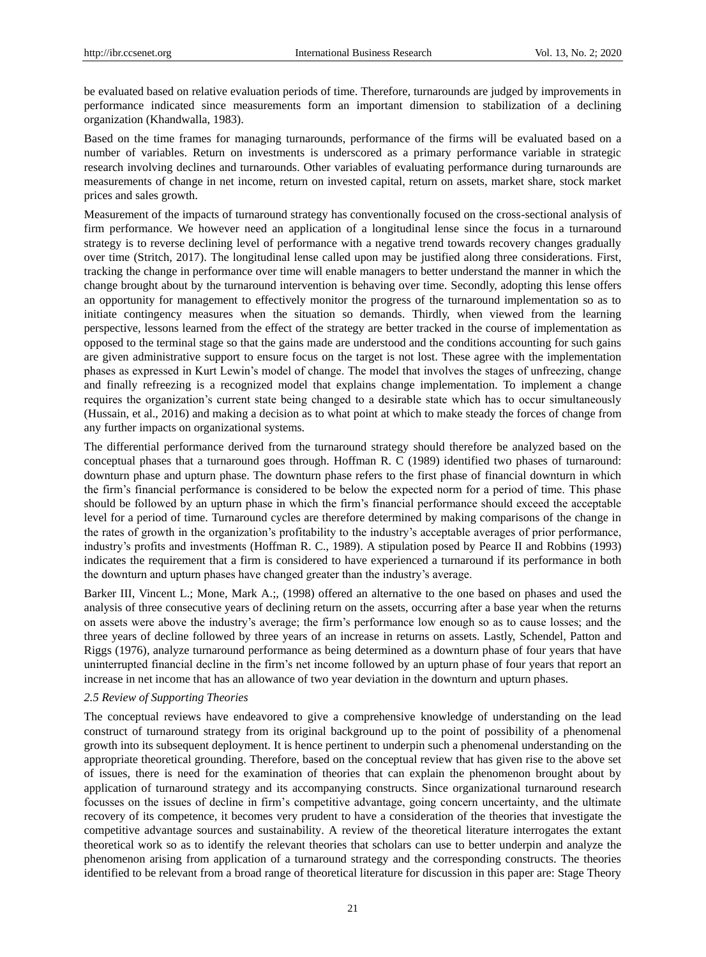be evaluated based on relative evaluation periods of time. Therefore, turnarounds are judged by improvements in performance indicated since measurements form an important dimension to stabilization of a declining organization (Khandwalla, 1983).

Based on the time frames for managing turnarounds, performance of the firms will be evaluated based on a number of variables. Return on investments is underscored as a primary performance variable in strategic research involving declines and turnarounds. Other variables of evaluating performance during turnarounds are measurements of change in net income, return on invested capital, return on assets, market share, stock market prices and sales growth.

Measurement of the impacts of turnaround strategy has conventionally focused on the cross-sectional analysis of firm performance. We however need an application of a longitudinal lense since the focus in a turnaround strategy is to reverse declining level of performance with a negative trend towards recovery changes gradually over time (Stritch, 2017). The longitudinal lense called upon may be justified along three considerations. First, tracking the change in performance over time will enable managers to better understand the manner in which the change brought about by the turnaround intervention is behaving over time. Secondly, adopting this lense offers an opportunity for management to effectively monitor the progress of the turnaround implementation so as to initiate contingency measures when the situation so demands. Thirdly, when viewed from the learning perspective, lessons learned from the effect of the strategy are better tracked in the course of implementation as opposed to the terminal stage so that the gains made are understood and the conditions accounting for such gains are given administrative support to ensure focus on the target is not lost. These agree with the implementation phases as expressed in Kurt Lewin's model of change. The model that involves the stages of unfreezing, change and finally refreezing is a recognized model that explains change implementation. To implement a change requires the organization's current state being changed to a desirable state which has to occur simultaneously (Hussain, et al., 2016) and making a decision as to what point at which to make steady the forces of change from any further impacts on organizational systems.

The differential performance derived from the turnaround strategy should therefore be analyzed based on the conceptual phases that a turnaround goes through. Hoffman R. C (1989) identified two phases of turnaround: downturn phase and upturn phase. The downturn phase refers to the first phase of financial downturn in which the firm's financial performance is considered to be below the expected norm for a period of time. This phase should be followed by an upturn phase in which the firm's financial performance should exceed the acceptable level for a period of time. Turnaround cycles are therefore determined by making comparisons of the change in the rates of growth in the organization's profitability to the industry's acceptable averages of prior performance, industry's profits and investments (Hoffman R. C., 1989). A stipulation posed by Pearce II and Robbins (1993) indicates the requirement that a firm is considered to have experienced a turnaround if its performance in both the downturn and upturn phases have changed greater than the industry's average.

Barker III, Vincent L.; Mone, Mark A.;, (1998) offered an alternative to the one based on phases and used the analysis of three consecutive years of declining return on the assets, occurring after a base year when the returns on assets were above the industry's average; the firm's performance low enough so as to cause losses; and the three years of decline followed by three years of an increase in returns on assets. Lastly, Schendel, Patton and Riggs (1976), analyze turnaround performance as being determined as a downturn phase of four years that have uninterrupted financial decline in the firm's net income followed by an upturn phase of four years that report an increase in net income that has an allowance of two year deviation in the downturn and upturn phases.

## *2.5 Review of Supporting Theories*

The conceptual reviews have endeavored to give a comprehensive knowledge of understanding on the lead construct of turnaround strategy from its original background up to the point of possibility of a phenomenal growth into its subsequent deployment. It is hence pertinent to underpin such a phenomenal understanding on the appropriate theoretical grounding. Therefore, based on the conceptual review that has given rise to the above set of issues, there is need for the examination of theories that can explain the phenomenon brought about by application of turnaround strategy and its accompanying constructs. Since organizational turnaround research focusses on the issues of decline in firm's competitive advantage, going concern uncertainty, and the ultimate recovery of its competence, it becomes very prudent to have a consideration of the theories that investigate the competitive advantage sources and sustainability. A review of the theoretical literature interrogates the extant theoretical work so as to identify the relevant theories that scholars can use to better underpin and analyze the phenomenon arising from application of a turnaround strategy and the corresponding constructs. The theories identified to be relevant from a broad range of theoretical literature for discussion in this paper are: Stage Theory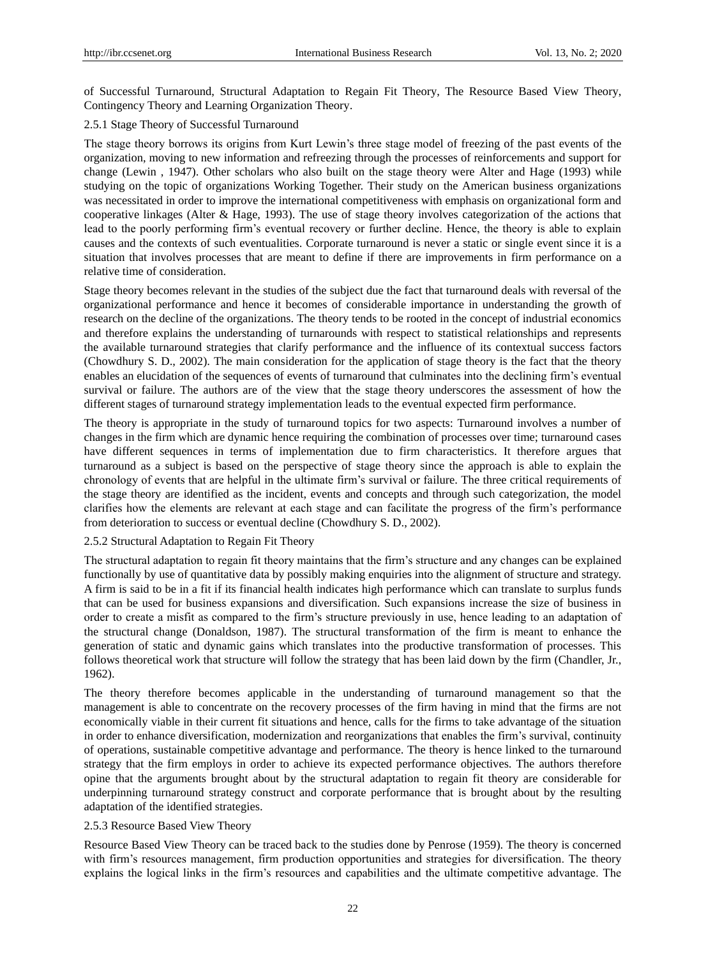of Successful Turnaround, Structural Adaptation to Regain Fit Theory, The Resource Based View Theory, Contingency Theory and Learning Organization Theory.

## 2.5.1 Stage Theory of Successful Turnaround

The stage theory borrows its origins from Kurt Lewin's three stage model of freezing of the past events of the organization, moving to new information and refreezing through the processes of reinforcements and support for change (Lewin , 1947). Other scholars who also built on the stage theory were Alter and Hage (1993) while studying on the topic of organizations Working Together. Their study on the American business organizations was necessitated in order to improve the international competitiveness with emphasis on organizational form and cooperative linkages (Alter & Hage, 1993). The use of stage theory involves categorization of the actions that lead to the poorly performing firm's eventual recovery or further decline. Hence, the theory is able to explain causes and the contexts of such eventualities. Corporate turnaround is never a static or single event since it is a situation that involves processes that are meant to define if there are improvements in firm performance on a relative time of consideration.

Stage theory becomes relevant in the studies of the subject due the fact that turnaround deals with reversal of the organizational performance and hence it becomes of considerable importance in understanding the growth of research on the decline of the organizations. The theory tends to be rooted in the concept of industrial economics and therefore explains the understanding of turnarounds with respect to statistical relationships and represents the available turnaround strategies that clarify performance and the influence of its contextual success factors (Chowdhury S. D., 2002). The main consideration for the application of stage theory is the fact that the theory enables an elucidation of the sequences of events of turnaround that culminates into the declining firm's eventual survival or failure. The authors are of the view that the stage theory underscores the assessment of how the different stages of turnaround strategy implementation leads to the eventual expected firm performance.

The theory is appropriate in the study of turnaround topics for two aspects: Turnaround involves a number of changes in the firm which are dynamic hence requiring the combination of processes over time; turnaround cases have different sequences in terms of implementation due to firm characteristics. It therefore argues that turnaround as a subject is based on the perspective of stage theory since the approach is able to explain the chronology of events that are helpful in the ultimate firm's survival or failure. The three critical requirements of the stage theory are identified as the incident, events and concepts and through such categorization, the model clarifies how the elements are relevant at each stage and can facilitate the progress of the firm's performance from deterioration to success or eventual decline (Chowdhury S. D., 2002).

## 2.5.2 Structural Adaptation to Regain Fit Theory

The structural adaptation to regain fit theory maintains that the firm's structure and any changes can be explained functionally by use of quantitative data by possibly making enquiries into the alignment of structure and strategy. A firm is said to be in a fit if its financial health indicates high performance which can translate to surplus funds that can be used for business expansions and diversification. Such expansions increase the size of business in order to create a misfit as compared to the firm's structure previously in use, hence leading to an adaptation of the structural change (Donaldson, 1987). The structural transformation of the firm is meant to enhance the generation of static and dynamic gains which translates into the productive transformation of processes. This follows theoretical work that structure will follow the strategy that has been laid down by the firm (Chandler, Jr., 1962).

The theory therefore becomes applicable in the understanding of turnaround management so that the management is able to concentrate on the recovery processes of the firm having in mind that the firms are not economically viable in their current fit situations and hence, calls for the firms to take advantage of the situation in order to enhance diversification, modernization and reorganizations that enables the firm's survival, continuity of operations, sustainable competitive advantage and performance. The theory is hence linked to the turnaround strategy that the firm employs in order to achieve its expected performance objectives. The authors therefore opine that the arguments brought about by the structural adaptation to regain fit theory are considerable for underpinning turnaround strategy construct and corporate performance that is brought about by the resulting adaptation of the identified strategies.

#### 2.5.3 Resource Based View Theory

Resource Based View Theory can be traced back to the studies done by Penrose (1959). The theory is concerned with firm's resources management, firm production opportunities and strategies for diversification. The theory explains the logical links in the firm's resources and capabilities and the ultimate competitive advantage. The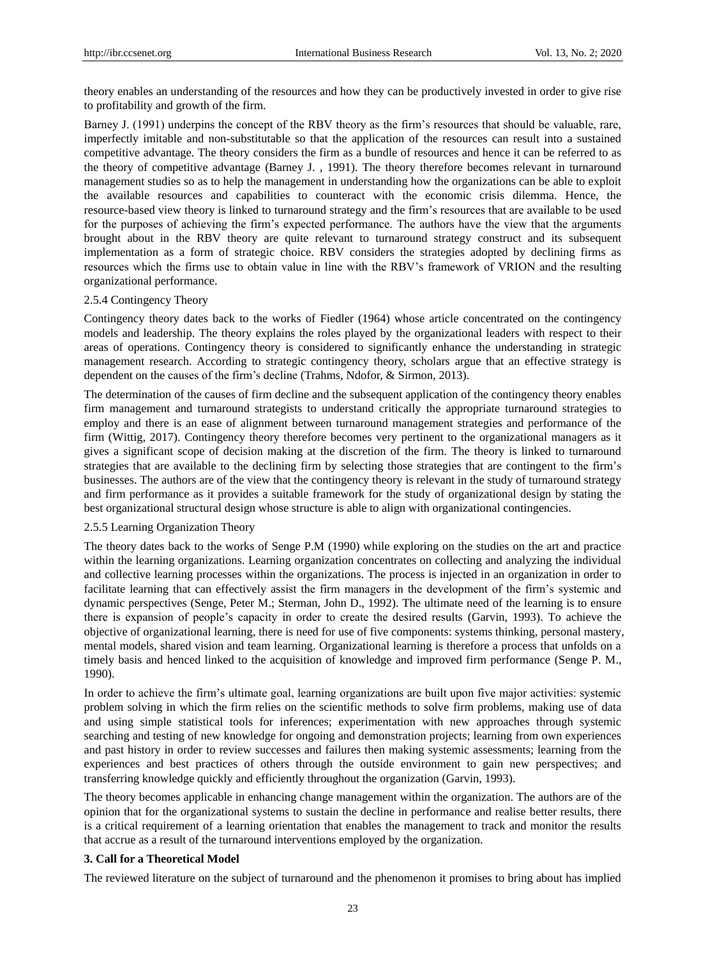theory enables an understanding of the resources and how they can be productively invested in order to give rise to profitability and growth of the firm.

Barney J. (1991) underpins the concept of the RBV theory as the firm's resources that should be valuable, rare, imperfectly imitable and non-substitutable so that the application of the resources can result into a sustained competitive advantage. The theory considers the firm as a bundle of resources and hence it can be referred to as the theory of competitive advantage (Barney J. , 1991). The theory therefore becomes relevant in turnaround management studies so as to help the management in understanding how the organizations can be able to exploit the available resources and capabilities to counteract with the economic crisis dilemma. Hence, the resource-based view theory is linked to turnaround strategy and the firm's resources that are available to be used for the purposes of achieving the firm's expected performance. The authors have the view that the arguments brought about in the RBV theory are quite relevant to turnaround strategy construct and its subsequent implementation as a form of strategic choice. RBV considers the strategies adopted by declining firms as resources which the firms use to obtain value in line with the RBV's framework of VRION and the resulting organizational performance.

#### 2.5.4 Contingency Theory

Contingency theory dates back to the works of Fiedler (1964) whose article concentrated on the contingency models and leadership. The theory explains the roles played by the organizational leaders with respect to their areas of operations. Contingency theory is considered to significantly enhance the understanding in strategic management research. According to strategic contingency theory, scholars argue that an effective strategy is dependent on the causes of the firm's decline (Trahms, Ndofor, & Sirmon, 2013).

The determination of the causes of firm decline and the subsequent application of the contingency theory enables firm management and turnaround strategists to understand critically the appropriate turnaround strategies to employ and there is an ease of alignment between turnaround management strategies and performance of the firm (Wittig, 2017). Contingency theory therefore becomes very pertinent to the organizational managers as it gives a significant scope of decision making at the discretion of the firm. The theory is linked to turnaround strategies that are available to the declining firm by selecting those strategies that are contingent to the firm's businesses. The authors are of the view that the contingency theory is relevant in the study of turnaround strategy and firm performance as it provides a suitable framework for the study of organizational design by stating the best organizational structural design whose structure is able to align with organizational contingencies.

## 2.5.5 Learning Organization Theory

The theory dates back to the works of Senge P.M (1990) while exploring on the studies on the art and practice within the learning organizations. Learning organization concentrates on collecting and analyzing the individual and collective learning processes within the organizations. The process is injected in an organization in order to facilitate learning that can effectively assist the firm managers in the development of the firm's systemic and dynamic perspectives (Senge, Peter M.; Sterman, John D., 1992). The ultimate need of the learning is to ensure there is expansion of people's capacity in order to create the desired results (Garvin, 1993). To achieve the objective of organizational learning, there is need for use of five components: systems thinking, personal mastery, mental models, shared vision and team learning. Organizational learning is therefore a process that unfolds on a timely basis and henced linked to the acquisition of knowledge and improved firm performance (Senge P. M., 1990).

In order to achieve the firm's ultimate goal, learning organizations are built upon five major activities: systemic problem solving in which the firm relies on the scientific methods to solve firm problems, making use of data and using simple statistical tools for inferences; experimentation with new approaches through systemic searching and testing of new knowledge for ongoing and demonstration projects; learning from own experiences and past history in order to review successes and failures then making systemic assessments; learning from the experiences and best practices of others through the outside environment to gain new perspectives; and transferring knowledge quickly and efficiently throughout the organization (Garvin, 1993).

The theory becomes applicable in enhancing change management within the organization. The authors are of the opinion that for the organizational systems to sustain the decline in performance and realise better results, there is a critical requirement of a learning orientation that enables the management to track and monitor the results that accrue as a result of the turnaround interventions employed by the organization.

#### **3. Call for a Theoretical Model**

The reviewed literature on the subject of turnaround and the phenomenon it promises to bring about has implied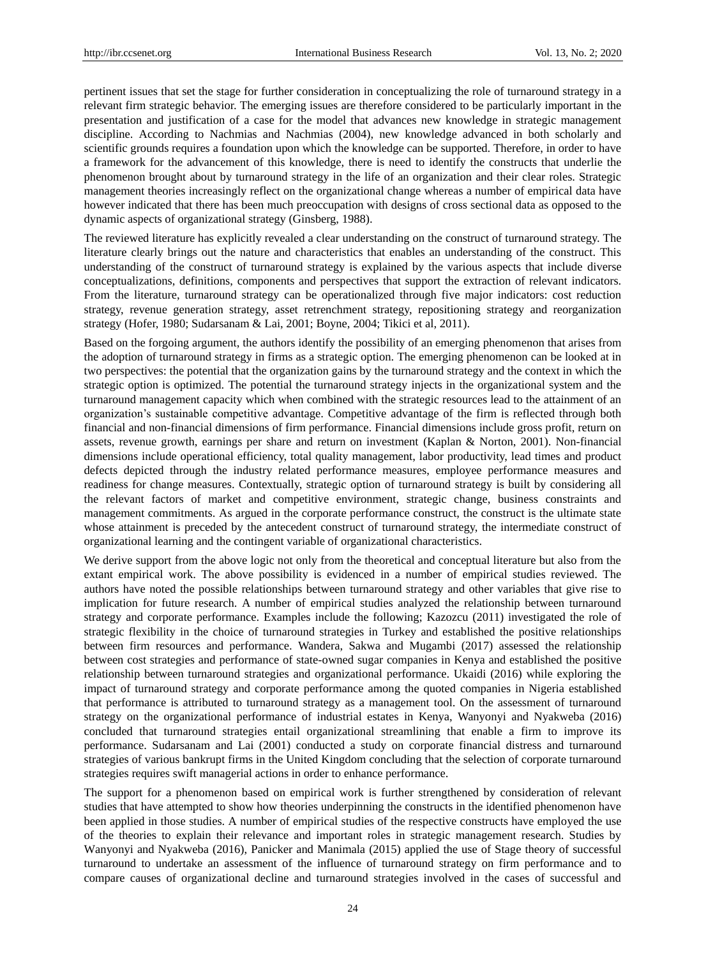pertinent issues that set the stage for further consideration in conceptualizing the role of turnaround strategy in a relevant firm strategic behavior. The emerging issues are therefore considered to be particularly important in the presentation and justification of a case for the model that advances new knowledge in strategic management discipline. According to Nachmias and Nachmias (2004), new knowledge advanced in both scholarly and scientific grounds requires a foundation upon which the knowledge can be supported. Therefore, in order to have a framework for the advancement of this knowledge, there is need to identify the constructs that underlie the phenomenon brought about by turnaround strategy in the life of an organization and their clear roles. Strategic management theories increasingly reflect on the organizational change whereas a number of empirical data have however indicated that there has been much preoccupation with designs of cross sectional data as opposed to the dynamic aspects of organizational strategy (Ginsberg, 1988).

The reviewed literature has explicitly revealed a clear understanding on the construct of turnaround strategy. The literature clearly brings out the nature and characteristics that enables an understanding of the construct. This understanding of the construct of turnaround strategy is explained by the various aspects that include diverse conceptualizations, definitions, components and perspectives that support the extraction of relevant indicators. From the literature, turnaround strategy can be operationalized through five major indicators: cost reduction strategy, revenue generation strategy, asset retrenchment strategy, repositioning strategy and reorganization strategy (Hofer, 1980; Sudarsanam & Lai, 2001; Boyne, 2004; Tikici et al, 2011).

Based on the forgoing argument, the authors identify the possibility of an emerging phenomenon that arises from the adoption of turnaround strategy in firms as a strategic option. The emerging phenomenon can be looked at in two perspectives: the potential that the organization gains by the turnaround strategy and the context in which the strategic option is optimized. The potential the turnaround strategy injects in the organizational system and the turnaround management capacity which when combined with the strategic resources lead to the attainment of an organization's sustainable competitive advantage. Competitive advantage of the firm is reflected through both financial and non-financial dimensions of firm performance. Financial dimensions include gross profit, return on assets, revenue growth, earnings per share and return on investment (Kaplan & Norton, 2001). Non-financial dimensions include operational efficiency, total quality management, labor productivity, lead times and product defects depicted through the industry related performance measures, employee performance measures and readiness for change measures. Contextually, strategic option of turnaround strategy is built by considering all the relevant factors of market and competitive environment, strategic change, business constraints and management commitments. As argued in the corporate performance construct, the construct is the ultimate state whose attainment is preceded by the antecedent construct of turnaround strategy, the intermediate construct of organizational learning and the contingent variable of organizational characteristics.

We derive support from the above logic not only from the theoretical and conceptual literature but also from the extant empirical work. The above possibility is evidenced in a number of empirical studies reviewed. The authors have noted the possible relationships between turnaround strategy and other variables that give rise to implication for future research. A number of empirical studies analyzed the relationship between turnaround strategy and corporate performance. Examples include the following; Kazozcu (2011) investigated the role of strategic flexibility in the choice of turnaround strategies in Turkey and established the positive relationships between firm resources and performance. Wandera, Sakwa and Mugambi (2017) assessed the relationship between cost strategies and performance of state-owned sugar companies in Kenya and established the positive relationship between turnaround strategies and organizational performance. Ukaidi (2016) while exploring the impact of turnaround strategy and corporate performance among the quoted companies in Nigeria established that performance is attributed to turnaround strategy as a management tool. On the assessment of turnaround strategy on the organizational performance of industrial estates in Kenya, Wanyonyi and Nyakweba (2016) concluded that turnaround strategies entail organizational streamlining that enable a firm to improve its performance. Sudarsanam and Lai (2001) conducted a study on corporate financial distress and turnaround strategies of various bankrupt firms in the United Kingdom concluding that the selection of corporate turnaround strategies requires swift managerial actions in order to enhance performance.

The support for a phenomenon based on empirical work is further strengthened by consideration of relevant studies that have attempted to show how theories underpinning the constructs in the identified phenomenon have been applied in those studies. A number of empirical studies of the respective constructs have employed the use of the theories to explain their relevance and important roles in strategic management research. Studies by Wanyonyi and Nyakweba (2016), Panicker and Manimala (2015) applied the use of Stage theory of successful turnaround to undertake an assessment of the influence of turnaround strategy on firm performance and to compare causes of organizational decline and turnaround strategies involved in the cases of successful and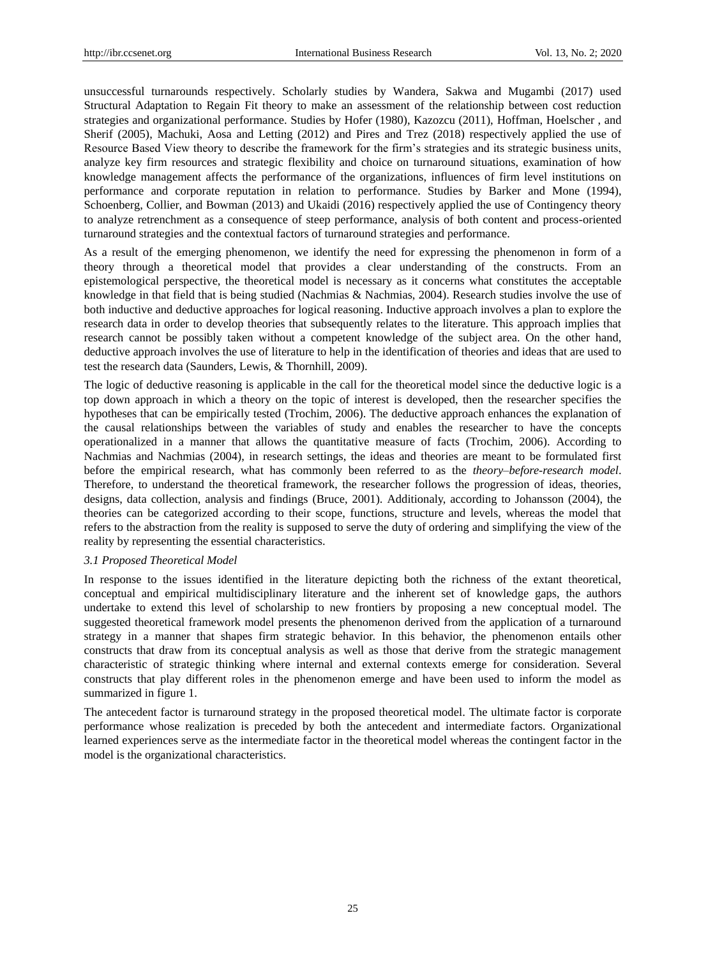unsuccessful turnarounds respectively. Scholarly studies by Wandera, Sakwa and Mugambi (2017) used Structural Adaptation to Regain Fit theory to make an assessment of the relationship between cost reduction strategies and organizational performance. Studies by Hofer (1980), Kazozcu (2011), Hoffman, Hoelscher , and Sherif (2005), Machuki, Aosa and Letting (2012) and Pires and Trez (2018) respectively applied the use of Resource Based View theory to describe the framework for the firm's strategies and its strategic business units, analyze key firm resources and strategic flexibility and choice on turnaround situations, examination of how knowledge management affects the performance of the organizations, influences of firm level institutions on performance and corporate reputation in relation to performance. Studies by Barker and Mone (1994), Schoenberg, Collier, and Bowman (2013) and Ukaidi (2016) respectively applied the use of Contingency theory to analyze retrenchment as a consequence of steep performance, analysis of both content and process-oriented turnaround strategies and the contextual factors of turnaround strategies and performance.

As a result of the emerging phenomenon, we identify the need for expressing the phenomenon in form of a theory through a theoretical model that provides a clear understanding of the constructs. From an epistemological perspective, the theoretical model is necessary as it concerns what constitutes the acceptable knowledge in that field that is being studied (Nachmias & Nachmias, 2004). Research studies involve the use of both inductive and deductive approaches for logical reasoning. Inductive approach involves a plan to explore the research data in order to develop theories that subsequently relates to the literature. This approach implies that research cannot be possibly taken without a competent knowledge of the subject area. On the other hand, deductive approach involves the use of literature to help in the identification of theories and ideas that are used to test the research data (Saunders, Lewis, & Thornhill, 2009).

The logic of deductive reasoning is applicable in the call for the theoretical model since the deductive logic is a top down approach in which a theory on the topic of interest is developed, then the researcher specifies the hypotheses that can be empirically tested (Trochim, 2006). The deductive approach enhances the explanation of the causal relationships between the variables of study and enables the researcher to have the concepts operationalized in a manner that allows the quantitative measure of facts (Trochim, 2006). According to Nachmias and Nachmias (2004), in research settings, the ideas and theories are meant to be formulated first before the empirical research, what has commonly been referred to as the *theory–before-research model*. Therefore, to understand the theoretical framework, the researcher follows the progression of ideas, theories, designs, data collection, analysis and findings (Bruce, 2001). Additionaly, according to Johansson (2004), the theories can be categorized according to their scope, functions, structure and levels, whereas the model that refers to the abstraction from the reality is supposed to serve the duty of ordering and simplifying the view of the reality by representing the essential characteristics.

## *3.1 Proposed Theoretical Model*

In response to the issues identified in the literature depicting both the richness of the extant theoretical, conceptual and empirical multidisciplinary literature and the inherent set of knowledge gaps, the authors undertake to extend this level of scholarship to new frontiers by proposing a new conceptual model. The suggested theoretical framework model presents the phenomenon derived from the application of a turnaround strategy in a manner that shapes firm strategic behavior. In this behavior, the phenomenon entails other constructs that draw from its conceptual analysis as well as those that derive from the strategic management characteristic of strategic thinking where internal and external contexts emerge for consideration. Several constructs that play different roles in the phenomenon emerge and have been used to inform the model as summarized in figure 1.

The antecedent factor is turnaround strategy in the proposed theoretical model. The ultimate factor is corporate performance whose realization is preceded by both the antecedent and intermediate factors. Organizational learned experiences serve as the intermediate factor in the theoretical model whereas the contingent factor in the model is the organizational characteristics.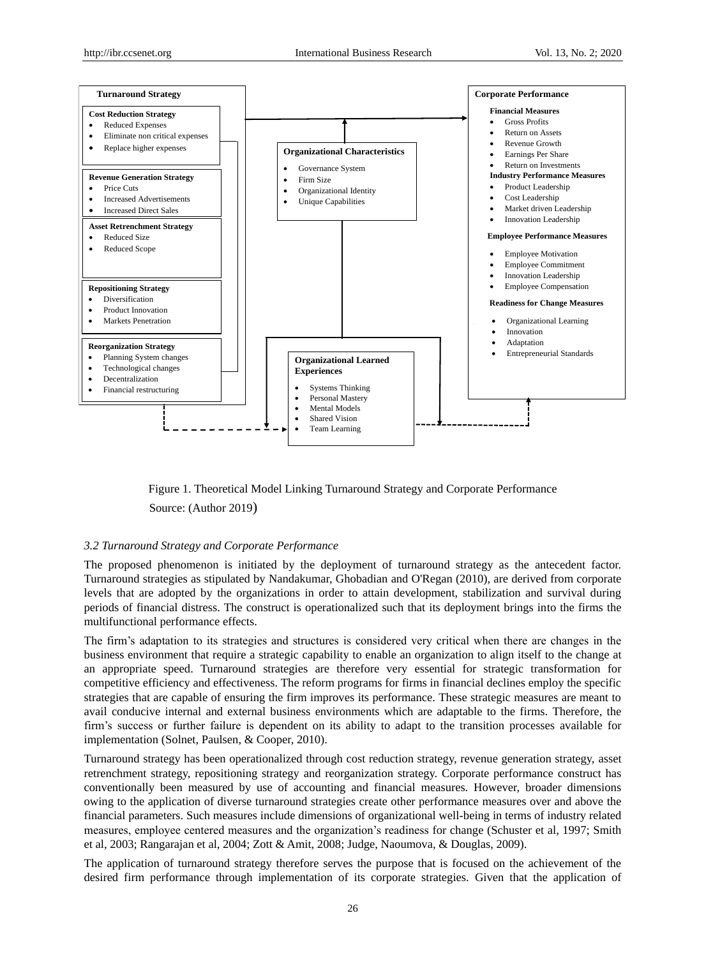

Figure 1. Theoretical Model Linking Turnaround Strategy and Corporate Performance Source: (Author 2019)

## *3.2 Turnaround Strategy and Corporate Performance*

The proposed phenomenon is initiated by the deployment of turnaround strategy as the antecedent factor. Turnaround strategies as stipulated by Nandakumar, Ghobadian and O'Regan (2010), are derived from corporate levels that are adopted by the organizations in order to attain development, stabilization and survival during periods of financial distress. The construct is operationalized such that its deployment brings into the firms the multifunctional performance effects.

The firm's adaptation to its strategies and structures is considered very critical when there are changes in the business environment that require a strategic capability to enable an organization to align itself to the change at an appropriate speed. Turnaround strategies are therefore very essential for strategic transformation for competitive efficiency and effectiveness. The reform programs for firms in financial declines employ the specific strategies that are capable of ensuring the firm improves its performance. These strategic measures are meant to avail conducive internal and external business environments which are adaptable to the firms. Therefore, the firm's success or further failure is dependent on its ability to adapt to the transition processes available for implementation (Solnet, Paulsen, & Cooper, 2010).

Turnaround strategy has been operationalized through cost reduction strategy, revenue generation strategy, asset retrenchment strategy, repositioning strategy and reorganization strategy. Corporate performance construct has conventionally been measured by use of accounting and financial measures. However, broader dimensions owing to the application of diverse turnaround strategies create other performance measures over and above the financial parameters. Such measures include dimensions of organizational well-being in terms of industry related measures, employee centered measures and the organization's readiness for change (Schuster et al, 1997; Smith et al, 2003; Rangarajan et al, 2004; Zott & Amit, 2008; Judge, Naoumova, & Douglas, 2009).

The application of turnaround strategy therefore serves the purpose that is focused on the achievement of the desired firm performance through implementation of its corporate strategies. Given that the application of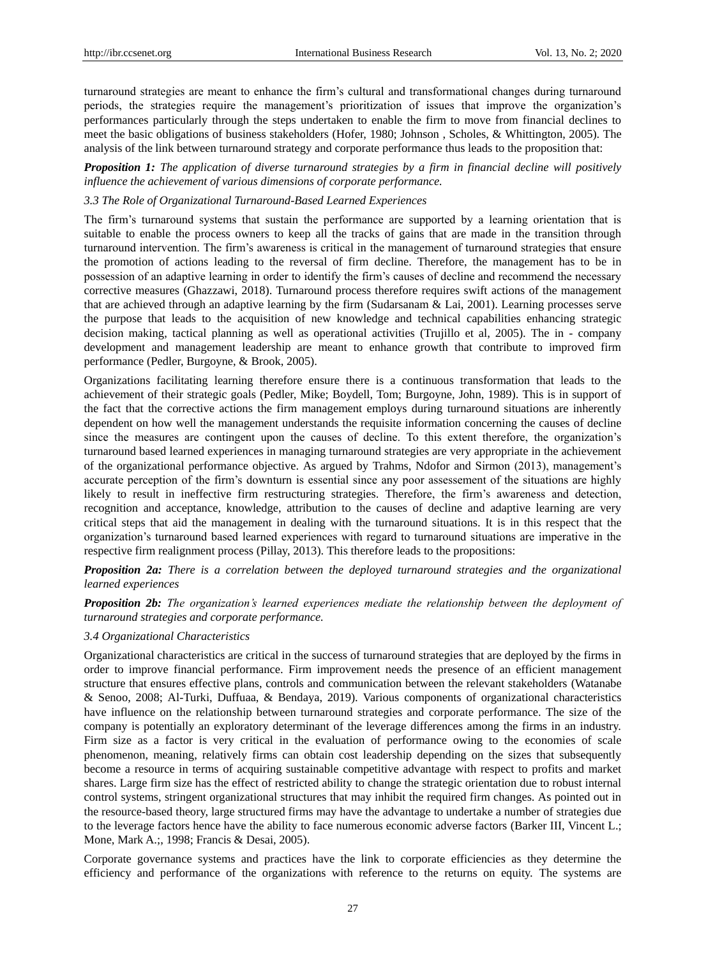turnaround strategies are meant to enhance the firm's cultural and transformational changes during turnaround periods, the strategies require the management's prioritization of issues that improve the organization's performances particularly through the steps undertaken to enable the firm to move from financial declines to meet the basic obligations of business stakeholders (Hofer, 1980; Johnson , Scholes, & Whittington, 2005). The analysis of the link between turnaround strategy and corporate performance thus leads to the proposition that:

*Proposition 1: The application of diverse turnaround strategies by a firm in financial decline will positively influence the achievement of various dimensions of corporate performance.*

## *3.3 The Role of Organizational Turnaround-Based Learned Experiences*

The firm's turnaround systems that sustain the performance are supported by a learning orientation that is suitable to enable the process owners to keep all the tracks of gains that are made in the transition through turnaround intervention. The firm's awareness is critical in the management of turnaround strategies that ensure the promotion of actions leading to the reversal of firm decline. Therefore, the management has to be in possession of an adaptive learning in order to identify the firm's causes of decline and recommend the necessary corrective measures (Ghazzawi, 2018). Turnaround process therefore requires swift actions of the management that are achieved through an adaptive learning by the firm (Sudarsanam & Lai, 2001). Learning processes serve the purpose that leads to the acquisition of new knowledge and technical capabilities enhancing strategic decision making, tactical planning as well as operational activities (Trujillo et al, 2005). The in - company development and management leadership are meant to enhance growth that contribute to improved firm performance (Pedler, Burgoyne, & Brook, 2005).

Organizations facilitating learning therefore ensure there is a continuous transformation that leads to the achievement of their strategic goals (Pedler, Mike; Boydell, Tom; Burgoyne, John, 1989). This is in support of the fact that the corrective actions the firm management employs during turnaround situations are inherently dependent on how well the management understands the requisite information concerning the causes of decline since the measures are contingent upon the causes of decline. To this extent therefore, the organization's turnaround based learned experiences in managing turnaround strategies are very appropriate in the achievement of the organizational performance objective. As argued by Trahms, Ndofor and Sirmon (2013), management's accurate perception of the firm's downturn is essential since any poor assessement of the situations are highly likely to result in ineffective firm restructuring strategies. Therefore, the firm's awareness and detection, recognition and acceptance, knowledge, attribution to the causes of decline and adaptive learning are very critical steps that aid the management in dealing with the turnaround situations. It is in this respect that the organization's turnaround based learned experiences with regard to turnaround situations are imperative in the respective firm realignment process (Pillay, 2013). This therefore leads to the propositions:

*Proposition 2a: There is a correlation between the deployed turnaround strategies and the organizational learned experiences*

*Proposition 2b: The organization's learned experiences mediate the relationship between the deployment of turnaround strategies and corporate performance.*

## *3.4 Organizational Characteristics*

Organizational characteristics are critical in the success of turnaround strategies that are deployed by the firms in order to improve financial performance. Firm improvement needs the presence of an efficient management structure that ensures effective plans, controls and communication between the relevant stakeholders (Watanabe & Senoo, 2008; Al-Turki, Duffuaa, & Bendaya, 2019). Various components of organizational characteristics have influence on the relationship between turnaround strategies and corporate performance. The size of the company is potentially an exploratory determinant of the leverage differences among the firms in an industry. Firm size as a factor is very critical in the evaluation of performance owing to the economies of scale phenomenon, meaning, relatively firms can obtain cost leadership depending on the sizes that subsequently become a resource in terms of acquiring sustainable competitive advantage with respect to profits and market shares. Large firm size has the effect of restricted ability to change the strategic orientation due to robust internal control systems, stringent organizational structures that may inhibit the required firm changes. As pointed out in the resource-based theory, large structured firms may have the advantage to undertake a number of strategies due to the leverage factors hence have the ability to face numerous economic adverse factors (Barker III, Vincent L.; Mone, Mark A.;, 1998; Francis & Desai, 2005).

Corporate governance systems and practices have the link to corporate efficiencies as they determine the efficiency and performance of the organizations with reference to the returns on equity. The systems are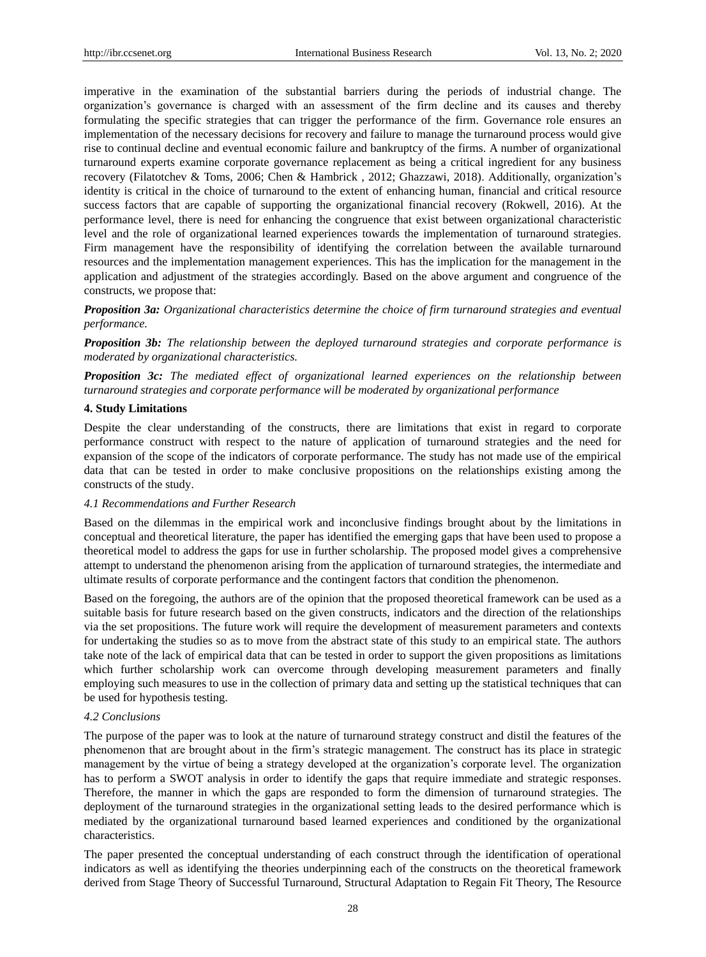imperative in the examination of the substantial barriers during the periods of industrial change. The organization's governance is charged with an assessment of the firm decline and its causes and thereby formulating the specific strategies that can trigger the performance of the firm. Governance role ensures an implementation of the necessary decisions for recovery and failure to manage the turnaround process would give rise to continual decline and eventual economic failure and bankruptcy of the firms. A number of organizational turnaround experts examine corporate governance replacement as being a critical ingredient for any business recovery (Filatotchev & Toms, 2006; Chen & Hambrick , 2012; Ghazzawi, 2018). Additionally, organization's identity is critical in the choice of turnaround to the extent of enhancing human, financial and critical resource success factors that are capable of supporting the organizational financial recovery (Rokwell, 2016). At the performance level, there is need for enhancing the congruence that exist between organizational characteristic level and the role of organizational learned experiences towards the implementation of turnaround strategies. Firm management have the responsibility of identifying the correlation between the available turnaround resources and the implementation management experiences. This has the implication for the management in the application and adjustment of the strategies accordingly. Based on the above argument and congruence of the constructs, we propose that:

*Proposition 3a: Organizational characteristics determine the choice of firm turnaround strategies and eventual performance.*

*Proposition 3b: The relationship between the deployed turnaround strategies and corporate performance is moderated by organizational characteristics.*

*Proposition 3c: The mediated effect of organizational learned experiences on the relationship between turnaround strategies and corporate performance will be moderated by organizational performance*

## **4. Study Limitations**

Despite the clear understanding of the constructs, there are limitations that exist in regard to corporate performance construct with respect to the nature of application of turnaround strategies and the need for expansion of the scope of the indicators of corporate performance. The study has not made use of the empirical data that can be tested in order to make conclusive propositions on the relationships existing among the constructs of the study.

## *4.1 Recommendations and Further Research*

Based on the dilemmas in the empirical work and inconclusive findings brought about by the limitations in conceptual and theoretical literature, the paper has identified the emerging gaps that have been used to propose a theoretical model to address the gaps for use in further scholarship. The proposed model gives a comprehensive attempt to understand the phenomenon arising from the application of turnaround strategies, the intermediate and ultimate results of corporate performance and the contingent factors that condition the phenomenon.

Based on the foregoing, the authors are of the opinion that the proposed theoretical framework can be used as a suitable basis for future research based on the given constructs, indicators and the direction of the relationships via the set propositions. The future work will require the development of measurement parameters and contexts for undertaking the studies so as to move from the abstract state of this study to an empirical state. The authors take note of the lack of empirical data that can be tested in order to support the given propositions as limitations which further scholarship work can overcome through developing measurement parameters and finally employing such measures to use in the collection of primary data and setting up the statistical techniques that can be used for hypothesis testing.

## *4.2 Conclusions*

The purpose of the paper was to look at the nature of turnaround strategy construct and distil the features of the phenomenon that are brought about in the firm's strategic management. The construct has its place in strategic management by the virtue of being a strategy developed at the organization's corporate level. The organization has to perform a SWOT analysis in order to identify the gaps that require immediate and strategic responses. Therefore, the manner in which the gaps are responded to form the dimension of turnaround strategies. The deployment of the turnaround strategies in the organizational setting leads to the desired performance which is mediated by the organizational turnaround based learned experiences and conditioned by the organizational characteristics.

The paper presented the conceptual understanding of each construct through the identification of operational indicators as well as identifying the theories underpinning each of the constructs on the theoretical framework derived from Stage Theory of Successful Turnaround, Structural Adaptation to Regain Fit Theory, The Resource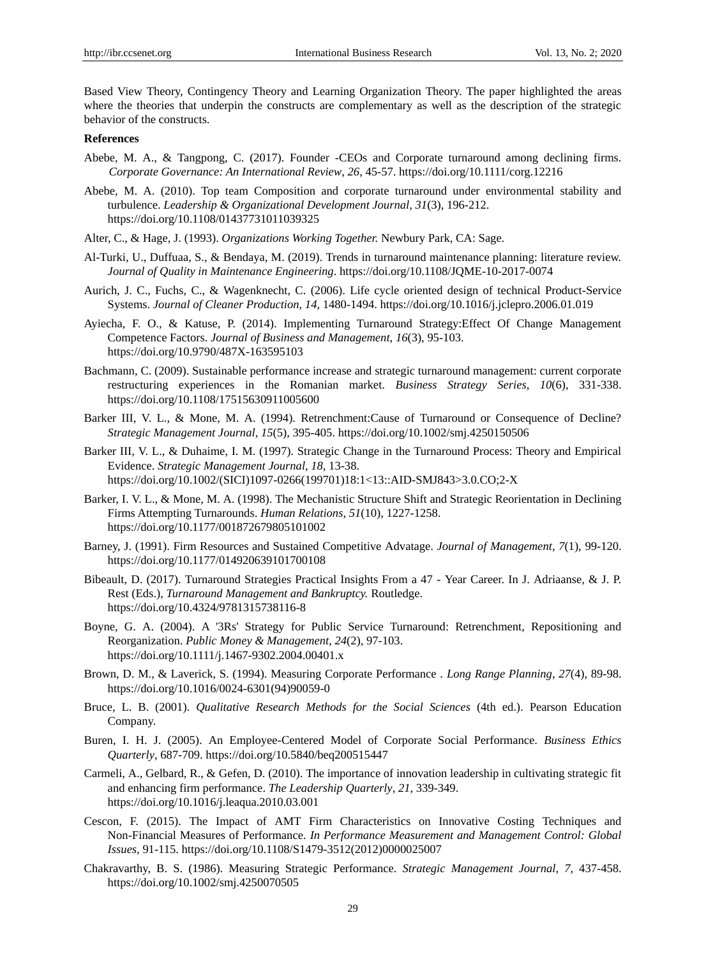Based View Theory, Contingency Theory and Learning Organization Theory. The paper highlighted the areas where the theories that underpin the constructs are complementary as well as the description of the strategic behavior of the constructs.

# **References**

- Abebe, M. A., & Tangpong, C. (2017). Founder -CEOs and Corporate turnaround among declining firms. *Corporate Governance: An International Review*, *26,* 45-57. https://doi.org/10.1111/corg.12216
- Abebe, M. A. (2010). Top team Composition and corporate turnaround under environmental stability and turbulence. *Leadership & Organizational Development Journal, 31*(3), 196-212. https://doi.org/10.1108/01437731011039325
- Alter, C., & Hage, J. (1993). *Organizations Working Together.* Newbury Park, CA: Sage.
- Al-Turki, U., Duffuaa, S., & Bendaya, M. (2019). Trends in turnaround maintenance planning: literature review. *Journal of Quality in Maintenance Engineering*. https://doi.org/10.1108/JQME-10-2017-0074
- Aurich, J. C., Fuchs, C., & Wagenknecht, C. (2006). Life cycle oriented design of technical Product-Service Systems. *Journal of Cleaner Production*, *14,* 1480-1494. https://doi.org/10.1016/j.jclepro.2006.01.019
- Ayiecha, F. O., & Katuse, P. (2014). Implementing Turnaround Strategy:Effect Of Change Management Competence Factors. *Journal of Business and Management*, *16*(3), 95-103. https://doi.org/10.9790/487X-163595103
- Bachmann, C. (2009). Sustainable performance increase and strategic turnaround management: current corporate restructuring experiences in the Romanian market. *Business Strategy Series*, *10*(6), 331-338. https://doi.org/10.1108/17515630911005600
- Barker III, V. L., & Mone, M. A. (1994). Retrenchment:Cause of Turnaround or Consequence of Decline? *Strategic Management Journal*, *15*(5), 395-405. https://doi.org/10.1002/smj.4250150506
- Barker III, V. L., & Duhaime, I. M. (1997). Strategic Change in the Turnaround Process: Theory and Empirical Evidence. *Strategic Management Journal*, *18,* 13-38. https://doi.org/10.1002/(SICI)1097-0266(199701)18:1<13::AID-SMJ843>3.0.CO;2-X
- Barker, I. V. L., & Mone, M. A. (1998). The Mechanistic Structure Shift and Strategic Reorientation in Declining Firms Attempting Turnarounds. *Human Relations*, *51*(10), 1227-1258. https://doi.org/10.1177/001872679805101002
- Barney, J. (1991). Firm Resources and Sustained Competitive Advatage. *Journal of Management*, *7*(1), 99-120. https://doi.org/10.1177/014920639101700108
- Bibeault, D. (2017). Turnaround Strategies Practical Insights From a 47 Year Career. In J. Adriaanse, & J. P. Rest (Eds.), *Turnaround Management and Bankruptcy.* Routledge. https://doi.org/10.4324/9781315738116-8
- Boyne, G. A. (2004). A '3Rs' Strategy for Public Service Turnaround: Retrenchment, Repositioning and Reorganization. *Public Money & Management*, *24*(2), 97-103. https://doi.org/10.1111/j.1467-9302.2004.00401.x
- Brown, D. M., & Laverick, S. (1994). Measuring Corporate Performance . *Long Range Planning*, *27*(4), 89-98. https://doi.org/10.1016/0024-6301(94)90059-0
- Bruce, L. B. (2001). *Qualitative Research Methods for the Social Sciences* (4th ed.). Pearson Education Company.
- Buren, I. H. J. (2005). An Employee-Centered Model of Corporate Social Performance. *Business Ethics Quarterly*, 687-709. https://doi.org/10.5840/beq200515447
- Carmeli, A., Gelbard, R., & Gefen, D. (2010). The importance of innovation leadership in cultivating strategic fit and enhancing firm performance. *The Leadership Quarterly*, *21,* 339-349. https://doi.org/10.1016/j.leaqua.2010.03.001
- Cescon, F. (2015). The Impact of AMT Firm Characteristics on Innovative Costing Techniques and Non-Financial Measures of Performance. *In Performance Measurement and Management Control: Global Issues*, 91-115. https://doi.org/10.1108/S1479-3512(2012)0000025007
- Chakravarthy, B. S. (1986). Measuring Strategic Performance. *Strategic Management Journal*, *7,* 437-458. https://doi.org/10.1002/smj.4250070505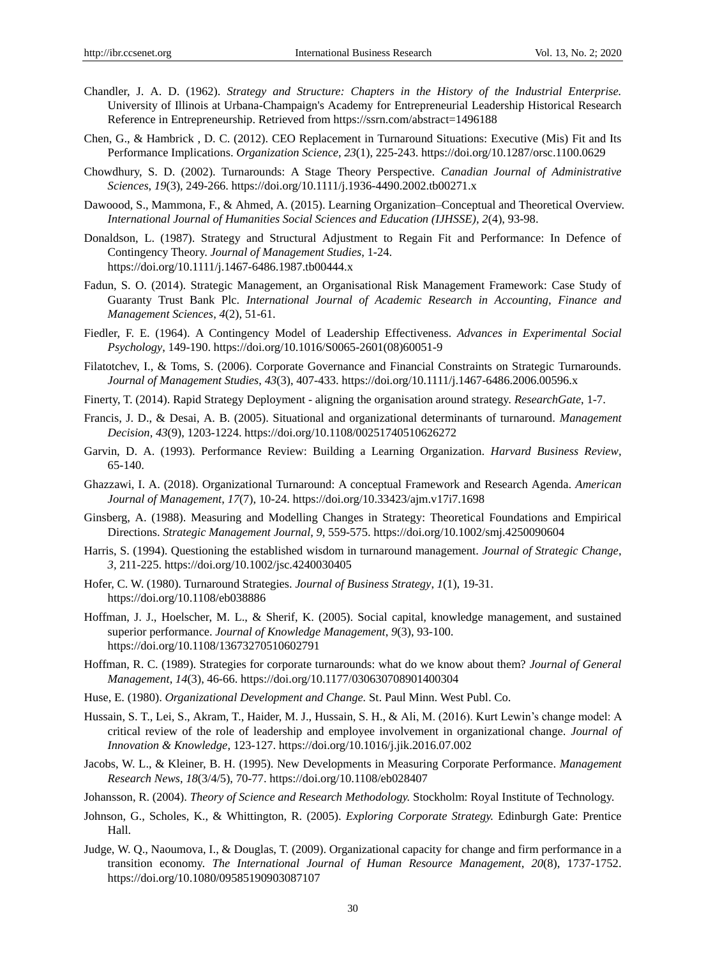- Chandler, J. A. D. (1962). *Strategy and Structure: Chapters in the History of the Industrial Enterprise.*  University of Illinois at Urbana-Champaign's Academy for Entrepreneurial Leadership Historical Research Reference in Entrepreneurship. Retrieved from https://ssrn.com/abstract=1496188
- Chen, G., & Hambrick , D. C. (2012). CEO Replacement in Turnaround Situations: Executive (Mis) Fit and Its Performance Implications. *Organization Science*, *23*(1), 225-243. https://doi.org/10.1287/orsc.1100.0629
- Chowdhury, S. D. (2002). Turnarounds: A Stage Theory Perspective. *Canadian Journal of Administrative Sciences*, *19*(3), 249-266. https://doi.org/10.1111/j.1936-4490.2002.tb00271.x
- Dawoood, S., Mammona, F., & Ahmed, A. (2015). Learning Organization–Conceptual and Theoretical Overview. *International Journal of Humanities Social Sciences and Education (IJHSSE), 2*(4), 93-98.
- Donaldson, L. (1987). Strategy and Structural Adjustment to Regain Fit and Performance: In Defence of Contingency Theory. *Journal of Management Studies*, 1-24. https://doi.org/10.1111/j.1467-6486.1987.tb00444.x
- Fadun, S. O. (2014). Strategic Management, an Organisational Risk Management Framework: Case Study of Guaranty Trust Bank Plc. *International Journal of Academic Research in Accounting, Finance and Management Sciences*, *4*(2), 51-61.
- Fiedler, F. E. (1964). A Contingency Model of Leadership Effectiveness. *Advances in Experimental Social Psychology*, 149-190. https://doi.org/10.1016/S0065-2601(08)60051-9
- Filatotchev, I., & Toms, S. (2006). Corporate Governance and Financial Constraints on Strategic Turnarounds. *Journal of Management Studies*, *43*(3), 407-433. https://doi.org/10.1111/j.1467-6486.2006.00596.x
- Finerty, T. (2014). Rapid Strategy Deployment aligning the organisation around strategy. *ResearchGate*, 1-7.
- Francis, J. D., & Desai, A. B. (2005). Situational and organizational determinants of turnaround. *Management Decision*, *43*(9), 1203-1224. https://doi.org/10.1108/00251740510626272
- Garvin, D. A. (1993). Performance Review: Building a Learning Organization. *Harvard Business Review*, 65-140.
- Ghazzawi, I. A. (2018). Organizational Turnaround: A conceptual Framework and Research Agenda. *American Journal of Management*, *17*(7), 10-24. https://doi.org/10.33423/ajm.v17i7.1698
- Ginsberg, A. (1988). Measuring and Modelling Changes in Strategy: Theoretical Foundations and Empirical Directions. *Strategic Management Journal*, *9,* 559-575. https://doi.org/10.1002/smj.4250090604
- Harris, S. (1994). Questioning the established wisdom in turnaround management. *Journal of Strategic Change*, *3,* 211-225. https://doi.org/10.1002/jsc.4240030405
- Hofer, C. W. (1980). Turnaround Strategies. *Journal of Business Strategy*, *1*(1), 19-31. https://doi.org/10.1108/eb038886
- Hoffman, J. J., Hoelscher, M. L., & Sherif, K. (2005). Social capital, knowledge management, and sustained superior performance. *Journal of Knowledge Management*, *9*(3), 93-100. https://doi.org/10.1108/13673270510602791
- Hoffman, R. C. (1989). Strategies for corporate turnarounds: what do we know about them? *Journal of General Management*, *14*(3), 46-66. https://doi.org/10.1177/030630708901400304
- Huse, E. (1980). *Organizational Development and Change.* St. Paul Minn. West Publ. Co.
- Hussain, S. T., Lei, S., Akram, T., Haider, M. J., Hussain, S. H., & Ali, M. (2016). Kurt Lewin's change model: A critical review of the role of leadership and employee involvement in organizational change. *Journal of Innovation & Knowledge*, 123-127. https://doi.org/10.1016/j.jik.2016.07.002
- Jacobs, W. L., & Kleiner, B. H. (1995). New Developments in Measuring Corporate Performance. *Management Research News*, *18*(3/4/5), 70-77. https://doi.org/10.1108/eb028407
- Johansson, R. (2004). *Theory of Science and Research Methodology.* Stockholm: Royal Institute of Technology.
- Johnson, G., Scholes, K., & Whittington, R. (2005). *Exploring Corporate Strategy.* Edinburgh Gate: Prentice Hall.
- Judge, W. Q., Naoumova, I., & Douglas, T. (2009). Organizational capacity for change and firm performance in a transition economy. *The International Journal of Human Resource Management*, *20*(8), 1737-1752. https://doi.org/10.1080/09585190903087107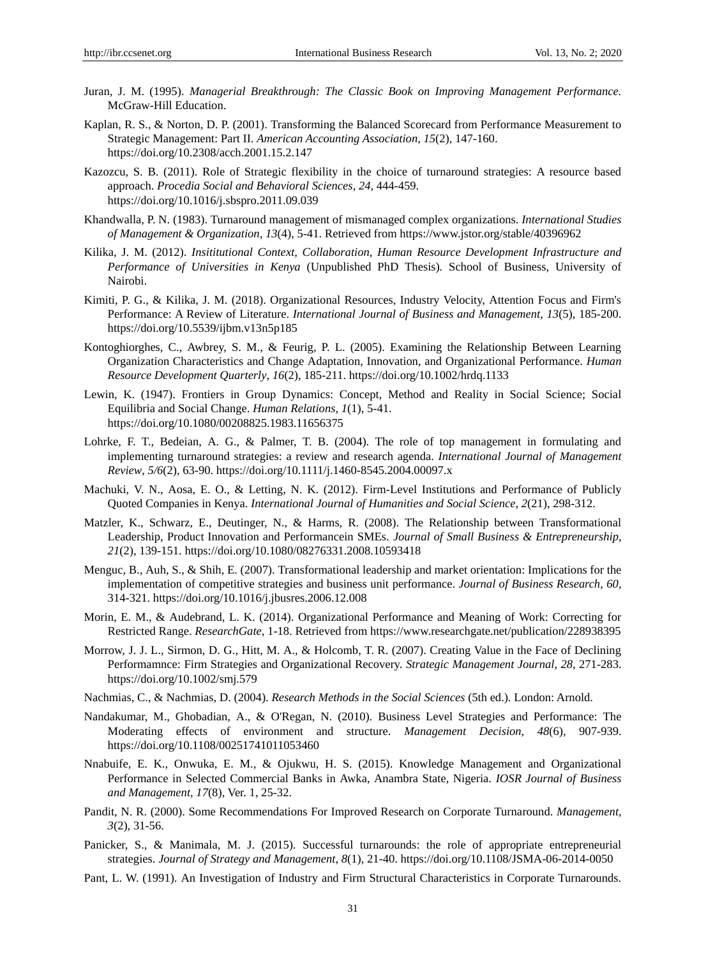- Juran, J. M. (1995). *Managerial Breakthrough: The Classic Book on Improving Management Performance.* McGraw-Hill Education.
- Kaplan, R. S., & Norton, D. P. (2001). Transforming the Balanced Scorecard from Performance Measurement to Strategic Management: Part II. *American Accounting Association*, *15*(2), 147-160. https://doi.org/10.2308/acch.2001.15.2.147
- Kazozcu, S. B. (2011). Role of Strategic flexibility in the choice of turnaround strategies: A resource based approach. *Procedia Social and Behavioral Sciences*, *24,* 444-459. https://doi.org/10.1016/j.sbspro.2011.09.039
- Khandwalla, P. N. (1983). Turnaround management of mismanaged complex organizations. *International Studies of Management & Organization*, *13*(4), 5-41. Retrieved from https://www.jstor.org/stable/40396962
- Kilika, J. M. (2012). *Insititutional Context, Collaboration, Human Resource Development Infrastructure and Performance of Universities in Kenya* (Unpublished PhD Thesis)*.* School of Business, University of Nairobi.
- Kimiti, P. G., & Kilika, J. M. (2018). Organizational Resources, Industry Velocity, Attention Focus and Firm's Performance: A Review of Literature. *International Journal of Business and Management*, *13*(5), 185-200. https://doi.org/10.5539/ijbm.v13n5p185
- Kontoghiorghes, C., Awbrey, S. M., & Feurig, P. L. (2005). Examining the Relationship Between Learning Organization Characteristics and Change Adaptation, Innovation, and Organizational Performance. *Human Resource Development Quarterly*, *16*(2), 185-211. https://doi.org/10.1002/hrdq.1133
- Lewin, K. (1947). Frontiers in Group Dynamics: Concept, Method and Reality in Social Science; Social Equilibria and Social Change. *Human Relations*, *1*(1), 5-41. https://doi.org/10.1080/00208825.1983.11656375
- Lohrke, F. T., Bedeian, A. G., & Palmer, T. B. (2004). The role of top management in formulating and implementing turnaround strategies: a review and research agenda. *International Journal of Management Review*, *5/6*(2), 63-90. https://doi.org/10.1111/j.1460-8545.2004.00097.x
- Machuki, V. N., Aosa, E. O., & Letting, N. K. (2012). Firm-Level Institutions and Performance of Publicly Quoted Companies in Kenya. *International Journal of Humanities and Social Science*, *2*(21), 298-312.
- Matzler, K., Schwarz, E., Deutinger, N., & Harms, R. (2008). The Relationship between Transformational Leadership, Product Innovation and Performancein SMEs. *Journal of Small Business & Entrepreneurship*, *21*(2), 139-151. https://doi.org/10.1080/08276331.2008.10593418
- Menguc, B., Auh, S., & Shih, E. (2007). Transformational leadership and market orientation: Implications for the implementation of competitive strategies and business unit performance. *Journal of Business Research*, *60,*  314-321. https://doi.org/10.1016/j.jbusres.2006.12.008
- Morin, E. M., & Audebrand, L. K. (2014). Organizational Performance and Meaning of Work: Correcting for Restricted Range. *ResearchGate*, 1-18. Retrieved from https://www.researchgate.net/publication/228938395
- Morrow, J. J. L., Sirmon, D. G., Hitt, M. A., & Holcomb, T. R. (2007). Creating Value in the Face of Declining Performamnce: Firm Strategies and Organizational Recovery. *Strategic Management Journal*, *28,* 271-283. https://doi.org/10.1002/smj.579
- Nachmias, C., & Nachmias, D. (2004). *Research Methods in the Social Sciences* (5th ed.)*.* London: Arnold.
- Nandakumar, M., Ghobadian, A., & O'Regan, N. (2010). Business Level Strategies and Performance: The Moderating effects of environment and structure. *Management Decision*, *48*(6), 907-939. https://doi.org/10.1108/00251741011053460
- Nnabuife, E. K., Onwuka, E. M., & Ojukwu, H. S. (2015). Knowledge Management and Organizational Performance in Selected Commercial Banks in Awka, Anambra State, Nigeria. *IOSR Journal of Business and Management*, *17*(8), Ver. 1, 25-32.
- Pandit, N. R. (2000). Some Recommendations For Improved Research on Corporate Turnaround. *Management*, *3*(2), 31-56.
- Panicker, S., & Manimala, M. J. (2015). Successful turnarounds: the role of appropriate entrepreneurial strategies. *Journal of Strategy and Management*, *8*(1), 21-40. https://doi.org/10.1108/JSMA-06-2014-0050
- Pant, L. W. (1991). An Investigation of Industry and Firm Structural Characteristics in Corporate Turnarounds.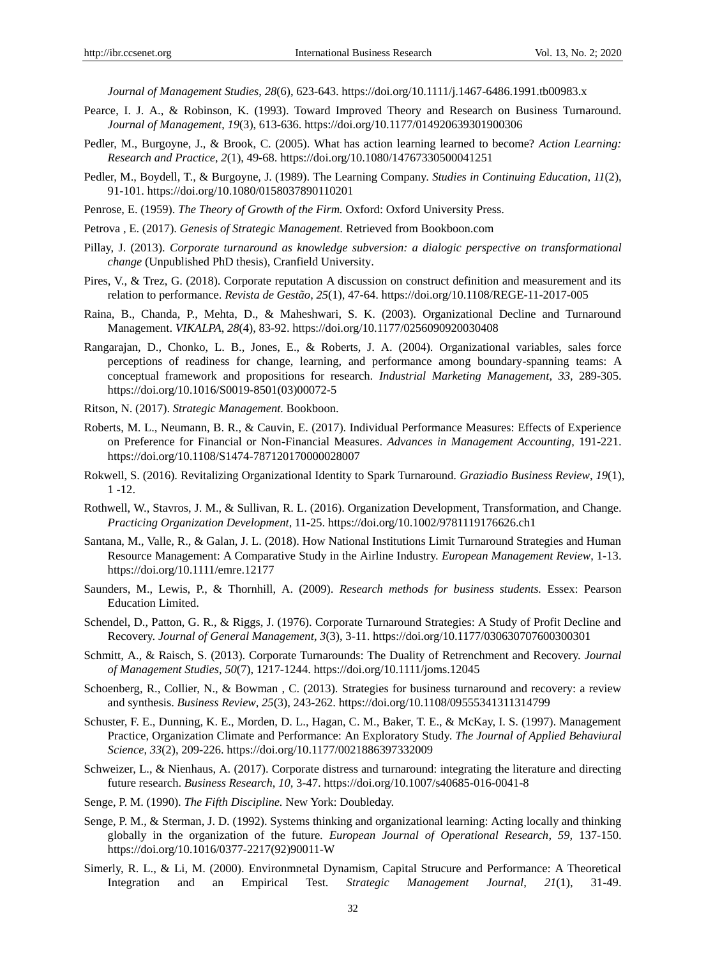*Journal of Management Studies*, *28*(6), 623-643. https://doi.org/10.1111/j.1467-6486.1991.tb00983.x

- Pearce, I. J. A., & Robinson, K. (1993). Toward Improved Theory and Research on Business Turnaround. *Journal of Management*, *19*(3), 613-636. https://doi.org/10.1177/014920639301900306
- Pedler, M., Burgoyne, J., & Brook, C. (2005). What has action learning learned to become? *Action Learning: Research and Practice*, *2*(1), 49-68. https://doi.org/10.1080/14767330500041251
- Pedler, M., Boydell, T., & Burgoyne, J. (1989). The Learning Company. *Studies in Continuing Education*, *11*(2), 91-101. https://doi.org/10.1080/0158037890110201
- Penrose, E. (1959). *The Theory of Growth of the Firm.* Oxford: Oxford University Press.
- Petrova , E. (2017). *Genesis of Strategic Management.* Retrieved from Bookboon.com
- Pillay, J. (2013). *Corporate turnaround as knowledge subversion: a dialogic perspective on transformational change* (Unpublished PhD thesis), Cranfield University.
- Pires, V., & Trez, G. (2018). Corporate reputation A discussion on construct definition and measurement and its relation to performance. *Revista de Gestão*, *25*(1), 47-64. https://doi.org/10.1108/REGE-11-2017-005
- Raina, B., Chanda, P., Mehta, D., & Maheshwari, S. K. (2003). Organizational Decline and Turnaround Management. *VIKALPA*, *28*(4), 83-92. https://doi.org/10.1177/0256090920030408
- Rangarajan, D., Chonko, L. B., Jones, E., & Roberts, J. A. (2004). Organizational variables, sales force perceptions of readiness for change, learning, and performance among boundary-spanning teams: A conceptual framework and propositions for research. *Industrial Marketing Management*, *33,* 289-305. https://doi.org/10.1016/S0019-8501(03)00072-5
- Ritson, N. (2017). *Strategic Management.* Bookboon.
- Roberts, M. L., Neumann, B. R., & Cauvin, E. (2017). Individual Performance Measures: Effects of Experience on Preference for Financial or Non-Financial Measures. *Advances in Management Accounting*, 191-221. https://doi.org/10.1108/S1474-787120170000028007
- Rokwell, S. (2016). Revitalizing Organizational Identity to Spark Turnaround. *Graziadio Business Review*, *19*(1), 1 -12.
- Rothwell, W., Stavros, J. M., & Sullivan, R. L. (2016). Organization Development, Transformation, and Change. *Practicing Organization Development*, 11-25. https://doi.org/10.1002/9781119176626.ch1
- Santana, M., Valle, R., & Galan, J. L. (2018). How National Institutions Limit Turnaround Strategies and Human Resource Management: A Comparative Study in the Airline Industry. *European Management Review*, 1-13. https://doi.org/10.1111/emre.12177
- Saunders, M., Lewis, P., & Thornhill, A. (2009). *Research methods for business students.* Essex: Pearson Education Limited.
- Schendel, D., Patton, G. R., & Riggs, J. (1976). Corporate Turnaround Strategies: A Study of Profit Decline and Recovery. *Journal of General Management*, *3*(3), 3-11. https://doi.org/10.1177/030630707600300301
- Schmitt, A., & Raisch, S. (2013). Corporate Turnarounds: The Duality of Retrenchment and Recovery. *Journal of Management Studies*, *50*(7), 1217-1244. https://doi.org/10.1111/joms.12045
- Schoenberg, R., Collier, N., & Bowman , C. (2013). Strategies for business turnaround and recovery: a review and synthesis. *Business Review*, *25*(3), 243-262. https://doi.org/10.1108/09555341311314799
- Schuster, F. E., Dunning, K. E., Morden, D. L., Hagan, C. M., Baker, T. E., & McKay, I. S. (1997). Management Practice, Organization Climate and Performance: An Exploratory Study. *The Journal of Applied Behaviural Science*, *33*(2), 209-226. https://doi.org/10.1177/0021886397332009
- Schweizer, L., & Nienhaus, A. (2017). Corporate distress and turnaround: integrating the literature and directing future research. *Business Research*, *10,* 3-47. https://doi.org/10.1007/s40685-016-0041-8
- Senge, P. M. (1990). *The Fifth Discipline.* New York: Doubleday.
- Senge, P. M., & Sterman, J. D. (1992). Systems thinking and organizational learning: Acting locally and thinking globally in the organization of the future. *European Journal of Operational Research*, *59,* 137-150. https://doi.org/10.1016/0377-2217(92)90011-W
- Simerly, R. L., & Li, M. (2000). Environmnetal Dynamism, Capital Strucure and Performance: A Theoretical Integration and an Empirical Test. *Strategic Management Journal*, *21*(1), 31-49.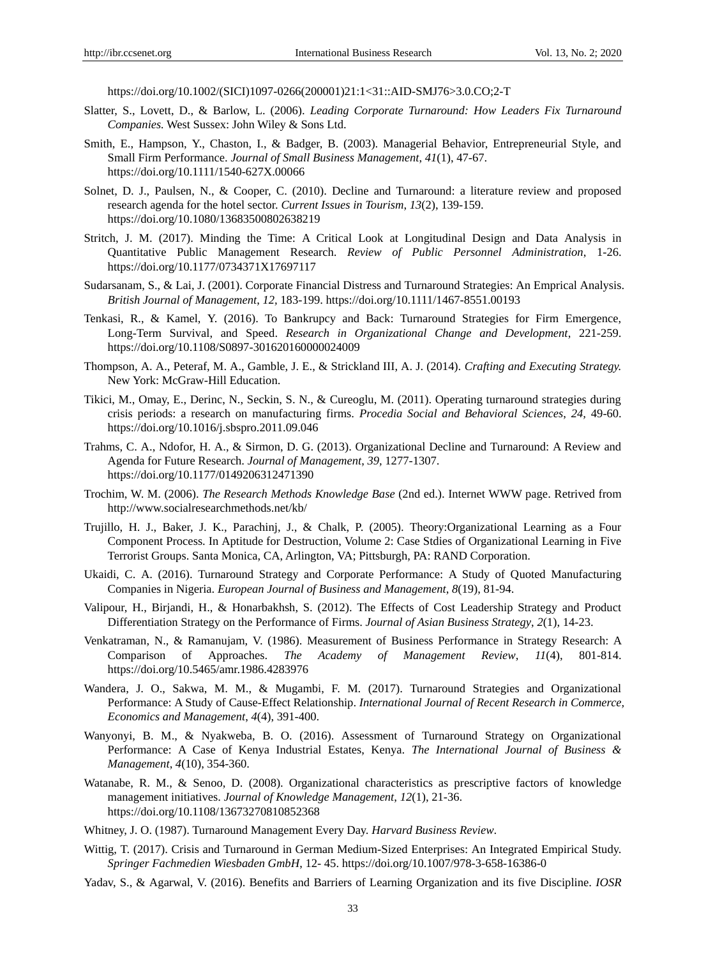https://doi.org/10.1002/(SICI)1097-0266(200001)21:1<31::AID-SMJ76>3.0.CO;2-T

- Slatter, S., Lovett, D., & Barlow, L. (2006). *Leading Corporate Turnaround: How Leaders Fix Turnaround Companies.* West Sussex: John Wiley & Sons Ltd.
- Smith, E., Hampson, Y., Chaston, I., & Badger, B. (2003). Managerial Behavior, Entrepreneurial Style, and Small Firm Performance. *Journal of Small Business Management*, *41*(1), 47-67. https://doi.org/10.1111/1540-627X.00066
- Solnet, D. J., Paulsen, N., & Cooper, C. (2010). Decline and Turnaround: a literature review and proposed research agenda for the hotel sector. *Current Issues in Tourism*, *13*(2), 139-159. https://doi.org/10.1080/13683500802638219
- Stritch, J. M. (2017). Minding the Time: A Critical Look at Longitudinal Design and Data Analysis in Quantitative Public Management Research. *Review of Public Personnel Administration*, 1-26. https://doi.org/10.1177/0734371X17697117
- Sudarsanam, S., & Lai, J. (2001). Corporate Financial Distress and Turnaround Strategies: An Emprical Analysis. *British Journal of Management*, *12,* 183-199. https://doi.org/10.1111/1467-8551.00193
- Tenkasi, R., & Kamel, Y. (2016). To Bankrupcy and Back: Turnaround Strategies for Firm Emergence, Long-Term Survival, and Speed. *Research in Organizational Change and Development*, 221-259. https://doi.org/10.1108/S0897-301620160000024009
- Thompson, A. A., Peteraf, M. A., Gamble, J. E., & Strickland III, A. J. (2014). *Crafting and Executing Strategy.* New York: McGraw-Hill Education.
- Tikici, M., Omay, E., Derinc, N., Seckin, S. N., & Cureoglu, M. (2011). Operating turnaround strategies during crisis periods: a research on manufacturing firms. *Procedia Social and Behavioral Sciences*, *24,* 49-60. https://doi.org/10.1016/j.sbspro.2011.09.046
- Trahms, C. A., Ndofor, H. A., & Sirmon, D. G. (2013). Organizational Decline and Turnaround: A Review and Agenda for Future Research. *Journal of Management*, *39,* 1277-1307. https://doi.org/10.1177/0149206312471390
- Trochim, W. M. (2006). *The Research Methods Knowledge Base* (2nd ed.). Internet WWW page. Retrived from http://www.socialresearchmethods.net/kb/
- Trujillo, H. J., Baker, J. K., Parachinj, J., & Chalk, P. (2005). Theory:Organizational Learning as a Four Component Process. In Aptitude for Destruction, Volume 2: Case Stdies of Organizational Learning in Five Terrorist Groups. Santa Monica, CA, Arlington, VA; Pittsburgh, PA: RAND Corporation.
- Ukaidi, C. A. (2016). Turnaround Strategy and Corporate Performance: A Study of Quoted Manufacturing Companies in Nigeria. *European Journal of Business and Management*, *8*(19), 81-94.
- Valipour, H., Birjandi, H., & Honarbakhsh, S. (2012). The Effects of Cost Leadership Strategy and Product Differentiation Strategy on the Performance of Firms. *Journal of Asian Business Strategy*, *2*(1), 14-23.
- Venkatraman, N., & Ramanujam, V. (1986). Measurement of Business Performance in Strategy Research: A Comparison of Approaches. *The Academy of Management Review*, *11*(4), 801-814. https://doi.org/10.5465/amr.1986.4283976
- Wandera, J. O., Sakwa, M. M., & Mugambi, F. M. (2017). Turnaround Strategies and Organizational Performance: A Study of Cause-Effect Relationship. *International Journal of Recent Research in Commerce, Economics and Management*, *4*(4), 391-400.
- Wanyonyi, B. M., & Nyakweba, B. O. (2016). Assessment of Turnaround Strategy on Organizational Performance: A Case of Kenya Industrial Estates, Kenya. *The International Journal of Business & Management*, *4*(10), 354-360.
- Watanabe, R. M., & Senoo, D. (2008). Organizational characteristics as prescriptive factors of knowledge management initiatives. *Journal of Knowledge Management*, *12*(1), 21-36. https://doi.org/10.1108/13673270810852368
- Whitney, J. O. (1987). Turnaround Management Every Day. *Harvard Business Review*.
- Wittig, T. (2017). Crisis and Turnaround in German Medium-Sized Enterprises: An Integrated Empirical Study. *Springer Fachmedien Wiesbaden GmbH*, 12- 45. https://doi.org/10.1007/978-3-658-16386-0
- Yadav, S., & Agarwal, V. (2016). Benefits and Barriers of Learning Organization and its five Discipline. *IOSR*